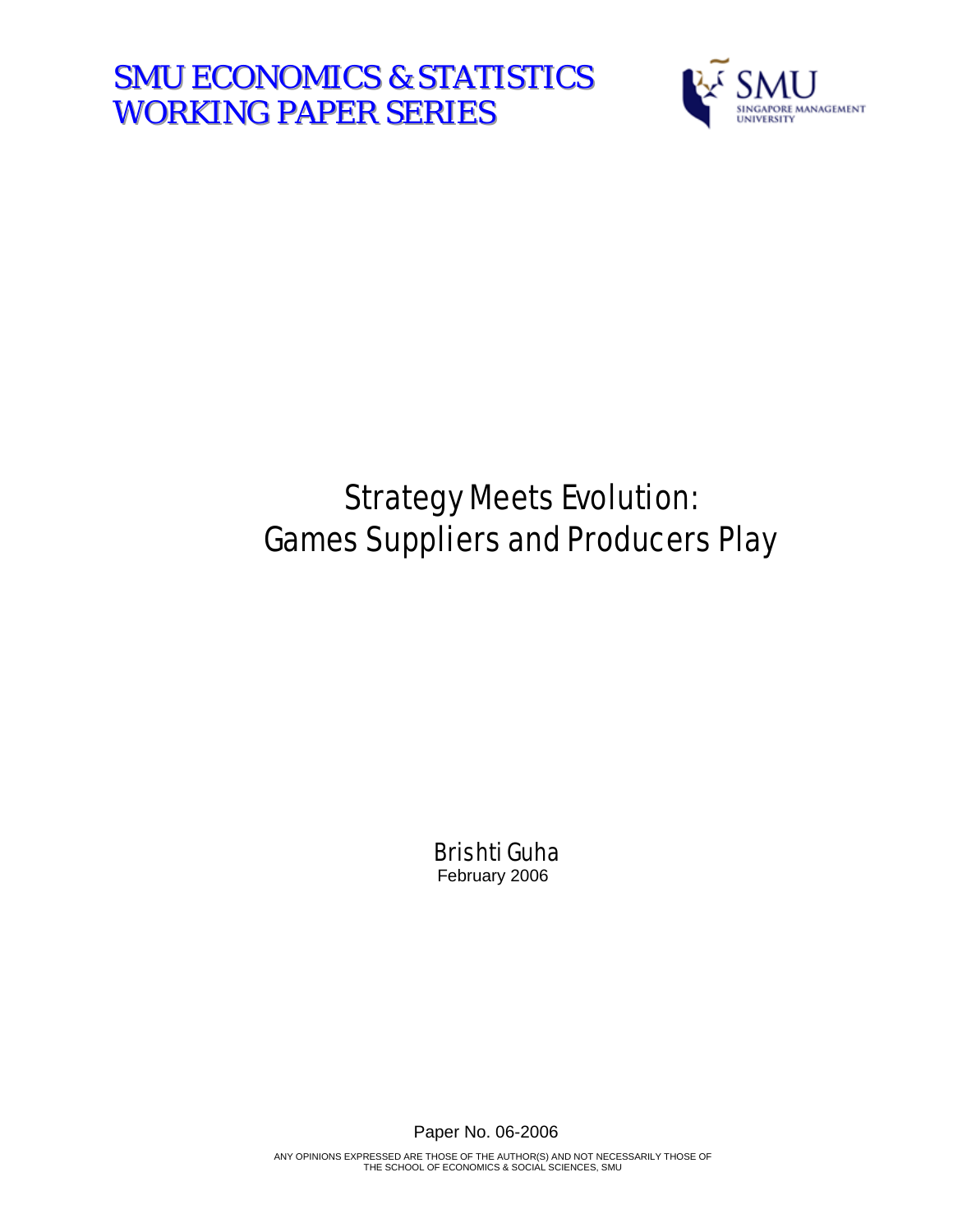**SMU ECONOMICS & STATISTICS WORKING PAPER SERIES** 



# Strategy Meets Evolution: Games Suppliers and Producers Play

Brishti Guha February 2006

Paper No. 06-2006

ANY OPINIONS EXPRESSED ARE THOSE OF THE AUTHOR(S) AND NOT NECESSARILY THOSE OF THE SCHOOL OF ECONOMICS & SOCIAL SCIENCES, SMU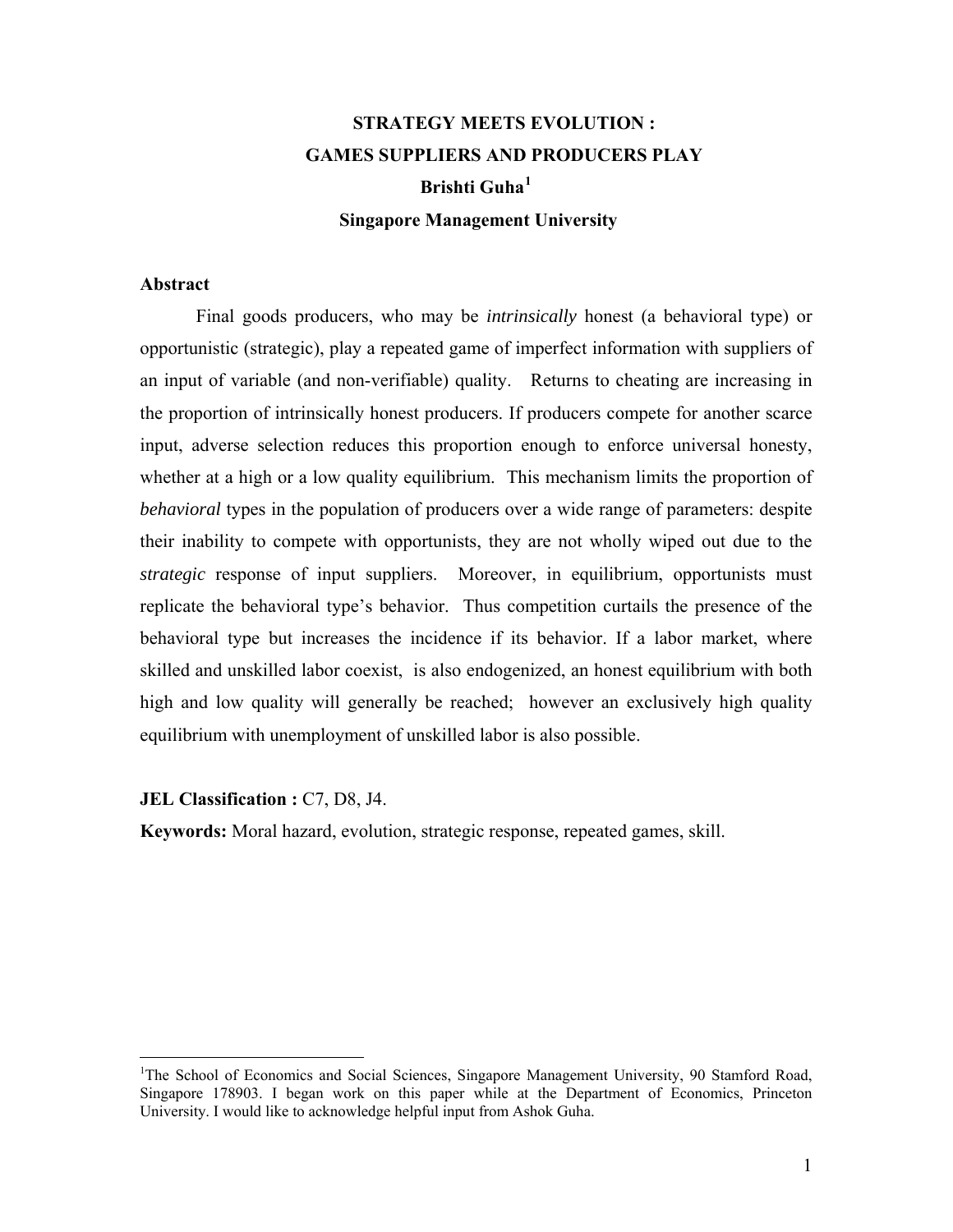## **STRATEGY MEETS EVOLUTION : GAMES SUPPLIERS AND PRODUCERS PLAY Brishti Guha[1](#page-1-0) Singapore Management University**

#### **Abstract**

Final goods producers, who may be *intrinsically* honest (a behavioral type) or opportunistic (strategic), play a repeated game of imperfect information with suppliers of an input of variable (and non-verifiable) quality. Returns to cheating are increasing in the proportion of intrinsically honest producers. If producers compete for another scarce input, adverse selection reduces this proportion enough to enforce universal honesty, whether at a high or a low quality equilibrium. This mechanism limits the proportion of *behavioral* types in the population of producers over a wide range of parameters: despite their inability to compete with opportunists, they are not wholly wiped out due to the *strategic* response of input suppliers. Moreover, in equilibrium, opportunists must replicate the behavioral type's behavior. Thus competition curtails the presence of the behavioral type but increases the incidence if its behavior. If a labor market, where skilled and unskilled labor coexist, is also endogenized, an honest equilibrium with both high and low quality will generally be reached; however an exclusively high quality equilibrium with unemployment of unskilled labor is also possible.

**JEL Classification : C7, D8, J4.** 

 $\overline{a}$ 

**Keywords:** Moral hazard, evolution, strategic response, repeated games, skill.

<span id="page-1-0"></span><sup>&</sup>lt;sup>1</sup>The School of Economics and Social Sciences, Singapore Management University, 90 Stamford Road, Singapore 178903. I began work on this paper while at the Department of Economics, Princeton University. I would like to acknowledge helpful input from Ashok Guha.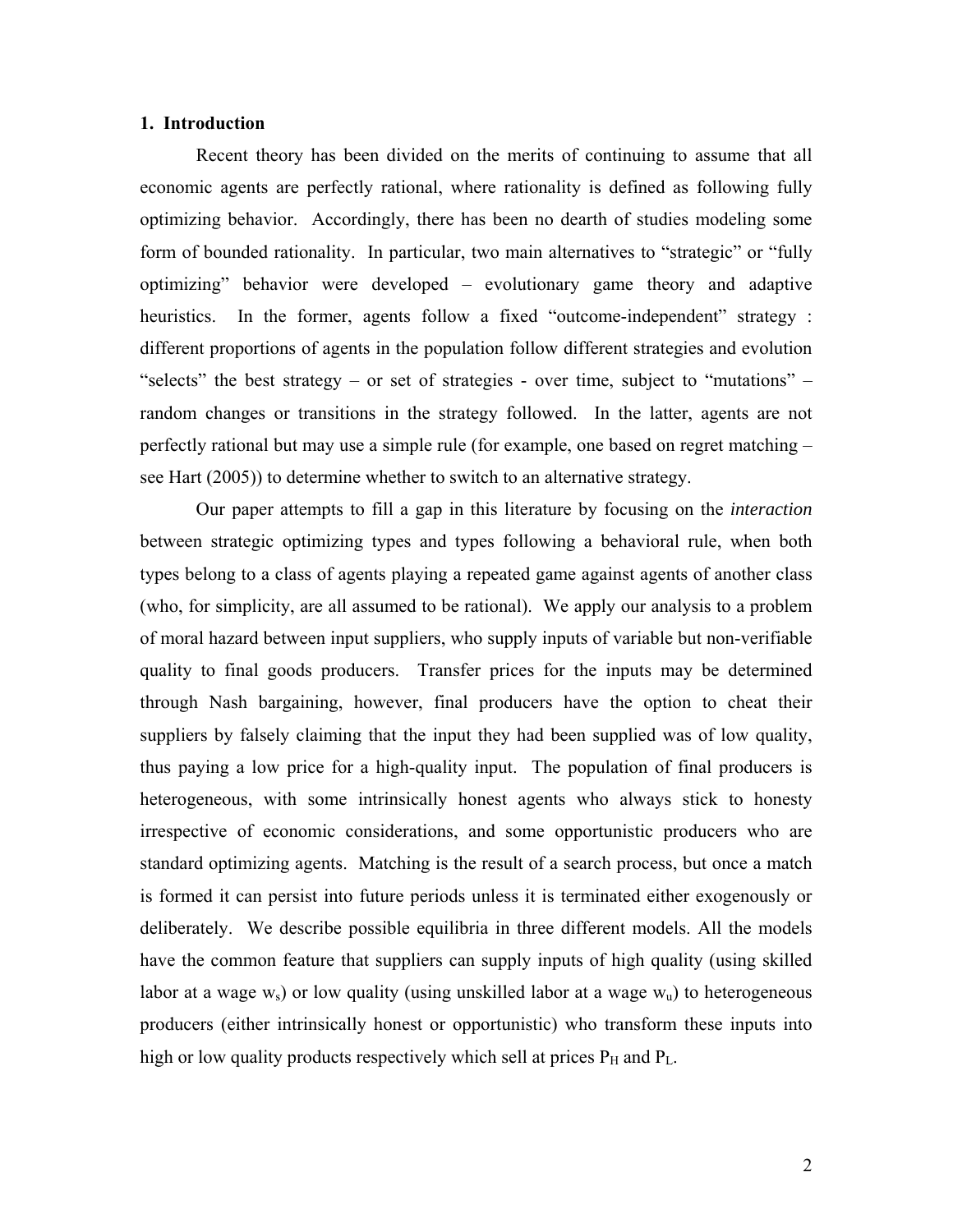#### **1. Introduction**

 Recent theory has been divided on the merits of continuing to assume that all economic agents are perfectly rational, where rationality is defined as following fully optimizing behavior. Accordingly, there has been no dearth of studies modeling some form of bounded rationality. In particular, two main alternatives to "strategic" or "fully optimizing" behavior were developed – evolutionary game theory and adaptive heuristics. In the former, agents follow a fixed "outcome-independent" strategy : different proportions of agents in the population follow different strategies and evolution "selects" the best strategy – or set of strategies - over time, subject to "mutations" – random changes or transitions in the strategy followed. In the latter, agents are not perfectly rational but may use a simple rule (for example, one based on regret matching – see Hart (2005)) to determine whether to switch to an alternative strategy.

Our paper attempts to fill a gap in this literature by focusing on the *interaction* between strategic optimizing types and types following a behavioral rule, when both types belong to a class of agents playing a repeated game against agents of another class (who, for simplicity, are all assumed to be rational). We apply our analysis to a problem of moral hazard between input suppliers, who supply inputs of variable but non-verifiable quality to final goods producers. Transfer prices for the inputs may be determined through Nash bargaining, however, final producers have the option to cheat their suppliers by falsely claiming that the input they had been supplied was of low quality, thus paying a low price for a high-quality input. The population of final producers is heterogeneous, with some intrinsically honest agents who always stick to honesty irrespective of economic considerations, and some opportunistic producers who are standard optimizing agents. Matching is the result of a search process, but once a match is formed it can persist into future periods unless it is terminated either exogenously or deliberately. We describe possible equilibria in three different models. All the models have the common feature that suppliers can supply inputs of high quality (using skilled labor at a wage  $w_s$ ) or low quality (using unskilled labor at a wage  $w_u$ ) to heterogeneous producers (either intrinsically honest or opportunistic) who transform these inputs into high or low quality products respectively which sell at prices  $P_H$  and  $P_L$ .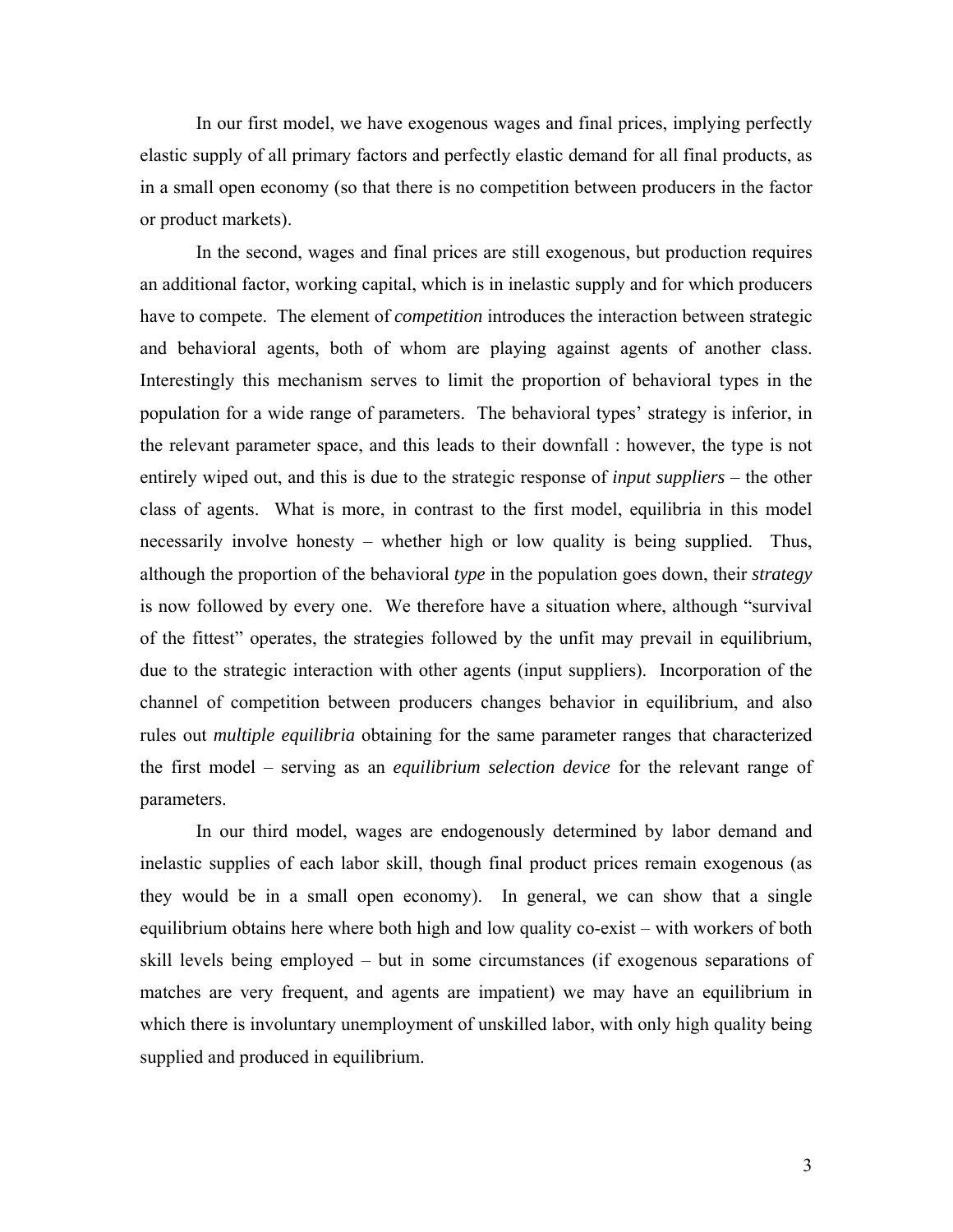In our first model, we have exogenous wages and final prices, implying perfectly elastic supply of all primary factors and perfectly elastic demand for all final products, as in a small open economy (so that there is no competition between producers in the factor or product markets).

In the second, wages and final prices are still exogenous, but production requires an additional factor, working capital, which is in inelastic supply and for which producers have to compete. The element of *competition* introduces the interaction between strategic and behavioral agents, both of whom are playing against agents of another class. Interestingly this mechanism serves to limit the proportion of behavioral types in the population for a wide range of parameters. The behavioral types' strategy is inferior, in the relevant parameter space, and this leads to their downfall : however, the type is not entirely wiped out, and this is due to the strategic response of *input suppliers* – the other class of agents. What is more, in contrast to the first model, equilibria in this model necessarily involve honesty – whether high or low quality is being supplied. Thus, although the proportion of the behavioral *type* in the population goes down, their *strategy* is now followed by every one. We therefore have a situation where, although "survival of the fittest" operates, the strategies followed by the unfit may prevail in equilibrium, due to the strategic interaction with other agents (input suppliers). Incorporation of the channel of competition between producers changes behavior in equilibrium, and also rules out *multiple equilibria* obtaining for the same parameter ranges that characterized the first model – serving as an *equilibrium selection device* for the relevant range of parameters.

In our third model, wages are endogenously determined by labor demand and inelastic supplies of each labor skill, though final product prices remain exogenous (as they would be in a small open economy). In general, we can show that a single equilibrium obtains here where both high and low quality co-exist – with workers of both skill levels being employed – but in some circumstances (if exogenous separations of matches are very frequent, and agents are impatient) we may have an equilibrium in which there is involuntary unemployment of unskilled labor, with only high quality being supplied and produced in equilibrium.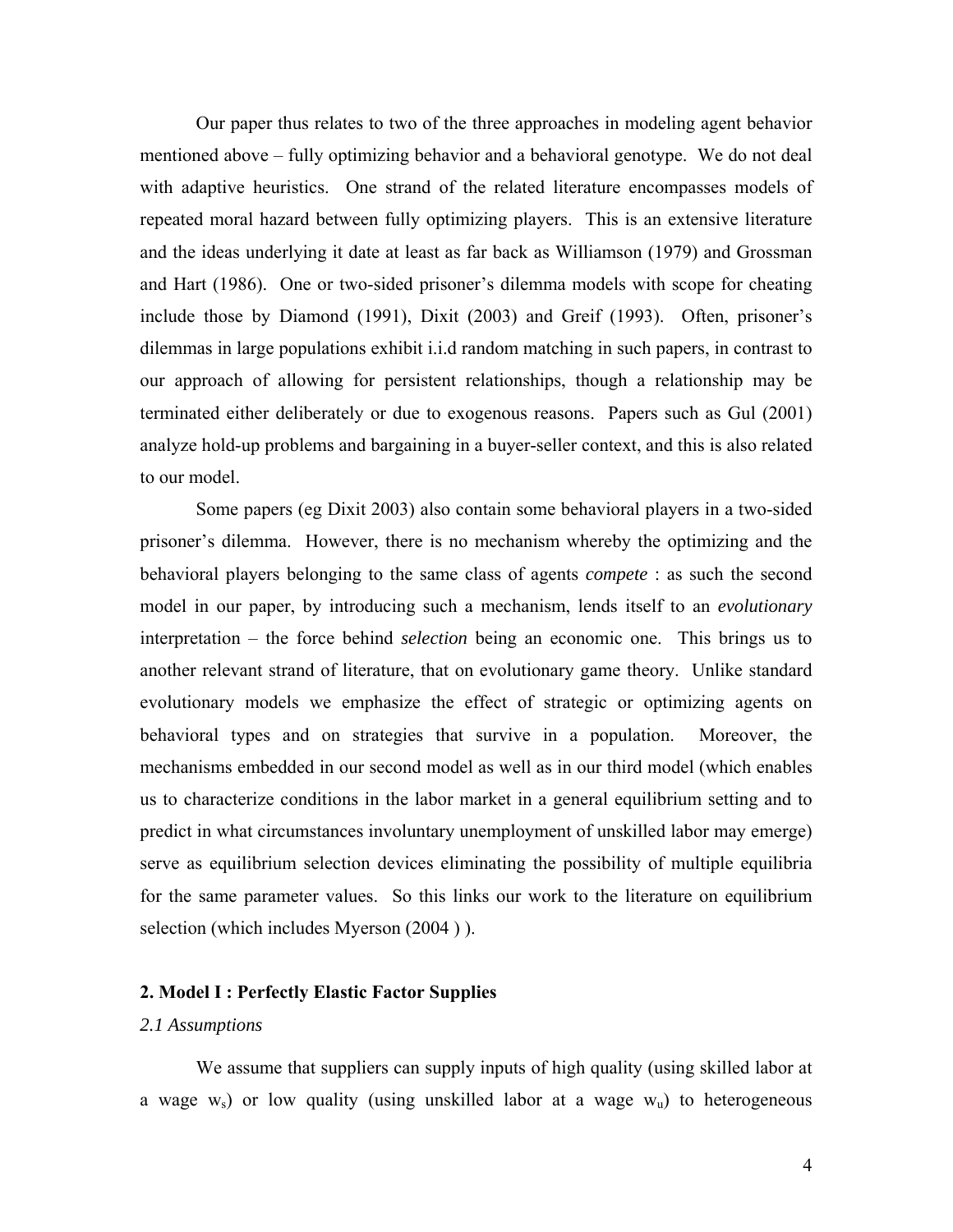Our paper thus relates to two of the three approaches in modeling agent behavior mentioned above – fully optimizing behavior and a behavioral genotype. We do not deal with adaptive heuristics. One strand of the related literature encompasses models of repeated moral hazard between fully optimizing players. This is an extensive literature and the ideas underlying it date at least as far back as Williamson (1979) and Grossman and Hart (1986). One or two-sided prisoner's dilemma models with scope for cheating include those by Diamond (1991), Dixit (2003) and Greif (1993). Often, prisoner's dilemmas in large populations exhibit i.i.d random matching in such papers, in contrast to our approach of allowing for persistent relationships, though a relationship may be terminated either deliberately or due to exogenous reasons. Papers such as Gul (2001) analyze hold-up problems and bargaining in a buyer-seller context, and this is also related to our model.

Some papers (eg Dixit 2003) also contain some behavioral players in a two-sided prisoner's dilemma. However, there is no mechanism whereby the optimizing and the behavioral players belonging to the same class of agents *compete* : as such the second model in our paper, by introducing such a mechanism, lends itself to an *evolutionary* interpretation – the force behind *selection* being an economic one. This brings us to another relevant strand of literature, that on evolutionary game theory. Unlike standard evolutionary models we emphasize the effect of strategic or optimizing agents on behavioral types and on strategies that survive in a population. Moreover, the mechanisms embedded in our second model as well as in our third model (which enables us to characterize conditions in the labor market in a general equilibrium setting and to predict in what circumstances involuntary unemployment of unskilled labor may emerge) serve as equilibrium selection devices eliminating the possibility of multiple equilibria for the same parameter values. So this links our work to the literature on equilibrium selection (which includes Myerson (2004 ) ).

#### **2. Model I : Perfectly Elastic Factor Supplies**

#### *2.1 Assumptions*

 We assume that suppliers can supply inputs of high quality (using skilled labor at a wage  $w_s$ ) or low quality (using unskilled labor at a wage  $w_u$ ) to heterogeneous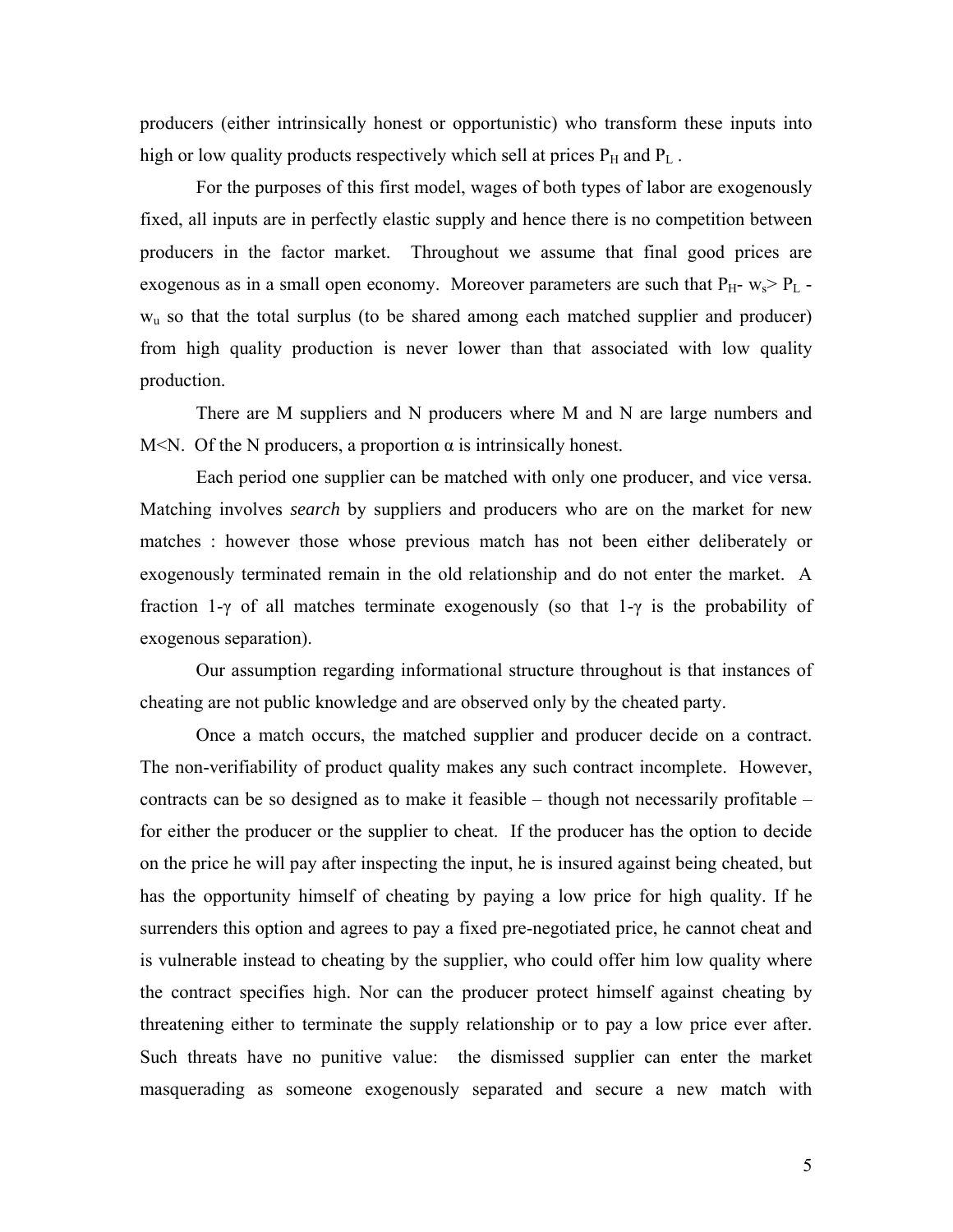producers (either intrinsically honest or opportunistic) who transform these inputs into high or low quality products respectively which sell at prices  $P_H$  and  $P_L$ .

 For the purposes of this first model, wages of both types of labor are exogenously fixed, all inputs are in perfectly elastic supply and hence there is no competition between producers in the factor market. Throughout we assume that final good prices are exogenous as in a small open economy. Moreover parameters are such that  $P_{H^-}$  w<sub>s</sub> >  $P_L$   $w<sub>u</sub>$  so that the total surplus (to be shared among each matched supplier and producer) from high quality production is never lower than that associated with low quality production.

 There are M suppliers and N producers where M and N are large numbers and M<N. Of the N producers, a proportion  $\alpha$  is intrinsically honest.

 Each period one supplier can be matched with only one producer, and vice versa. Matching involves *search* by suppliers and producers who are on the market for new matches : however those whose previous match has not been either deliberately or exogenously terminated remain in the old relationship and do not enter the market. A fraction 1-γ of all matches terminate exogenously (so that 1-γ is the probability of exogenous separation).

 Our assumption regarding informational structure throughout is that instances of cheating are not public knowledge and are observed only by the cheated party.

Once a match occurs, the matched supplier and producer decide on a contract. The non-verifiability of product quality makes any such contract incomplete. However, contracts can be so designed as to make it feasible – though not necessarily profitable – for either the producer or the supplier to cheat. If the producer has the option to decide on the price he will pay after inspecting the input, he is insured against being cheated, but has the opportunity himself of cheating by paying a low price for high quality. If he surrenders this option and agrees to pay a fixed pre-negotiated price, he cannot cheat and is vulnerable instead to cheating by the supplier, who could offer him low quality where the contract specifies high. Nor can the producer protect himself against cheating by threatening either to terminate the supply relationship or to pay a low price ever after. Such threats have no punitive value: the dismissed supplier can enter the market masquerading as someone exogenously separated and secure a new match with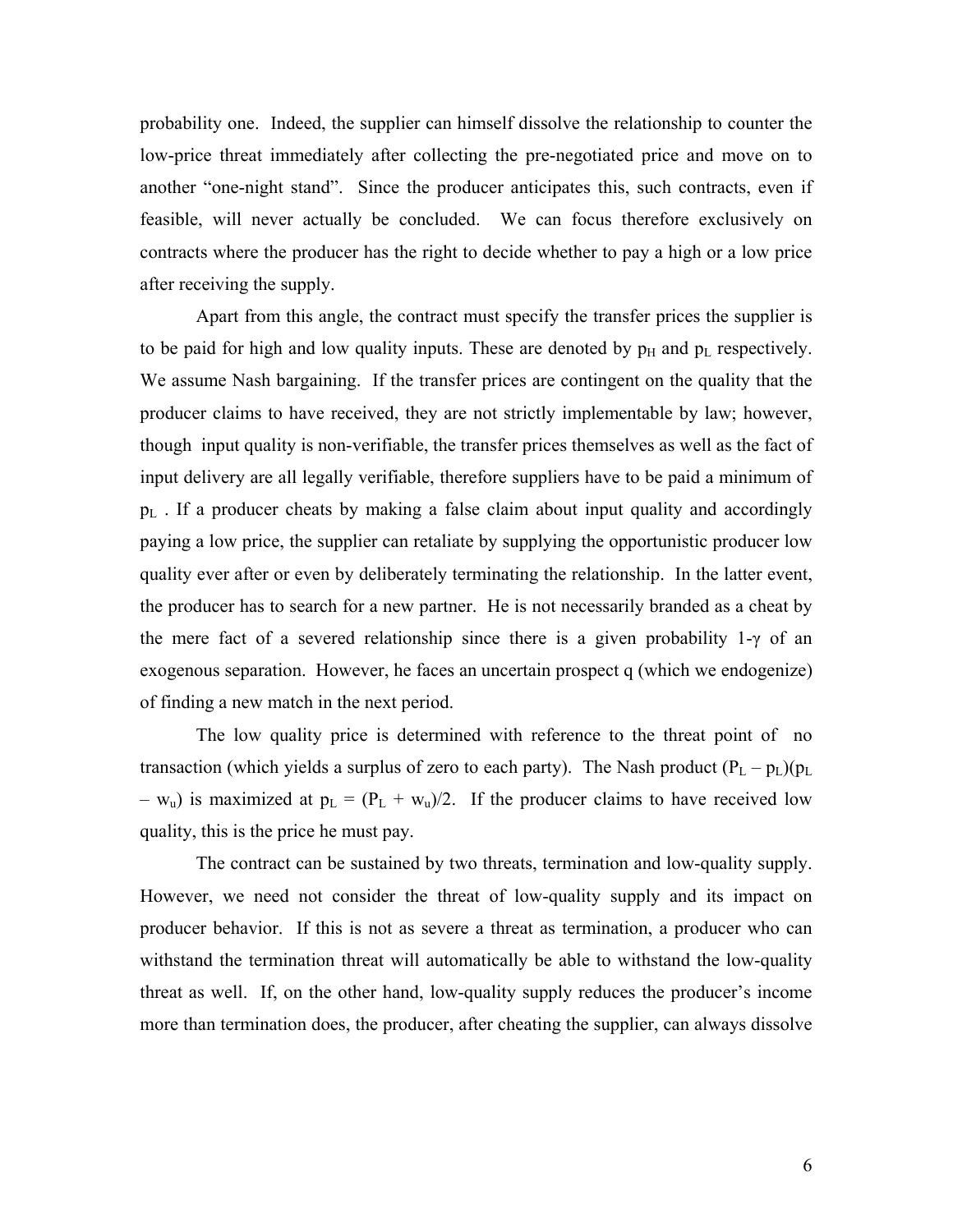probability one. Indeed, the supplier can himself dissolve the relationship to counter the low-price threat immediately after collecting the pre-negotiated price and move on to another "one-night stand". Since the producer anticipates this, such contracts, even if feasible, will never actually be concluded. We can focus therefore exclusively on contracts where the producer has the right to decide whether to pay a high or a low price after receiving the supply.

Apart from this angle, the contract must specify the transfer prices the supplier is to be paid for high and low quality inputs. These are denoted by  $p_H$  and  $p_L$  respectively. We assume Nash bargaining. If the transfer prices are contingent on the quality that the producer claims to have received, they are not strictly implementable by law; however, though input quality is non-verifiable, the transfer prices themselves as well as the fact of input delivery are all legally verifiable, therefore suppliers have to be paid a minimum of  $p_L$ . If a producer cheats by making a false claim about input quality and accordingly paying a low price, the supplier can retaliate by supplying the opportunistic producer low quality ever after or even by deliberately terminating the relationship. In the latter event, the producer has to search for a new partner. He is not necessarily branded as a cheat by the mere fact of a severed relationship since there is a given probability 1-γ of an exogenous separation. However, he faces an uncertain prospect q (which we endogenize) of finding a new match in the next period.

The low quality price is determined with reference to the threat point of no transaction (which yields a surplus of zero to each party). The Nash product  $(P_L - p_L)(p_L)$ –  $w_u$ ) is maximized at  $p_L = (P_L + w_u)/2$ . If the producer claims to have received low quality, this is the price he must pay.

The contract can be sustained by two threats, termination and low-quality supply. However, we need not consider the threat of low-quality supply and its impact on producer behavior. If this is not as severe a threat as termination, a producer who can withstand the termination threat will automatically be able to withstand the low-quality threat as well. If, on the other hand, low-quality supply reduces the producer's income more than termination does, the producer, after cheating the supplier, can always dissolve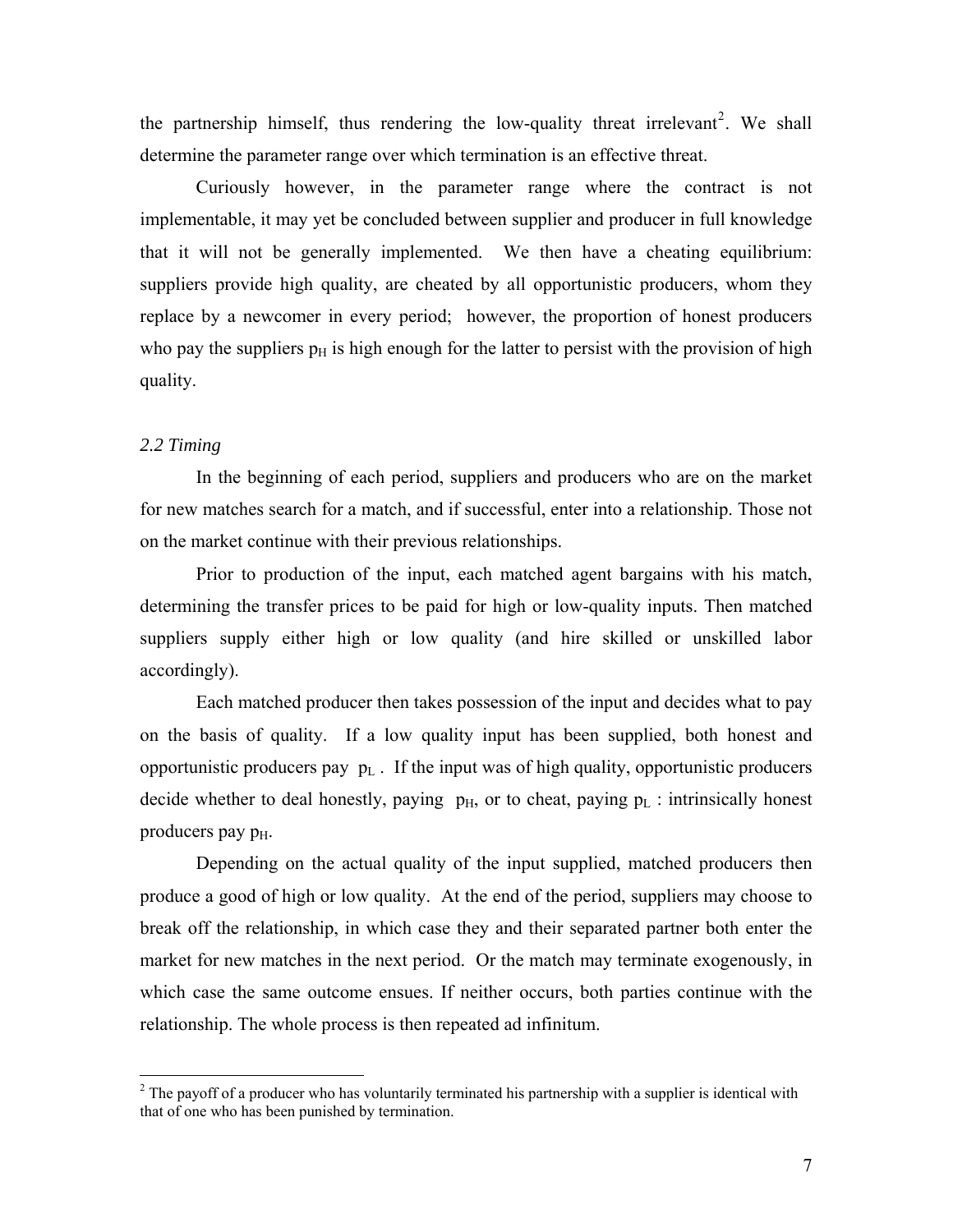the partnership himself, thus rendering the low-quality threat irrelevant<sup>[2](#page-7-0)</sup>. We shall determine the parameter range over which termination is an effective threat.

Curiously however, in the parameter range where the contract is not implementable, it may yet be concluded between supplier and producer in full knowledge that it will not be generally implemented. We then have a cheating equilibrium: suppliers provide high quality, are cheated by all opportunistic producers, whom they replace by a newcomer in every period; however, the proportion of honest producers who pay the suppliers  $p<sub>H</sub>$  is high enough for the latter to persist with the provision of high quality.

#### *2.2 Timing*

 $\overline{a}$ 

 In the beginning of each period, suppliers and producers who are on the market for new matches search for a match, and if successful, enter into a relationship. Those not on the market continue with their previous relationships.

Prior to production of the input, each matched agent bargains with his match, determining the transfer prices to be paid for high or low-quality inputs. Then matched suppliers supply either high or low quality (and hire skilled or unskilled labor accordingly).

Each matched producer then takes possession of the input and decides what to pay on the basis of quality. If a low quality input has been supplied, both honest and opportunistic producers pay  $p_L$ . If the input was of high quality, opportunistic producers decide whether to deal honestly, paying  $p_H$ , or to cheat, paying  $p_L$ : intrinsically honest producers pay  $p_{\text{H}}$ .

Depending on the actual quality of the input supplied, matched producers then produce a good of high or low quality. At the end of the period, suppliers may choose to break off the relationship, in which case they and their separated partner both enter the market for new matches in the next period. Or the match may terminate exogenously, in which case the same outcome ensues. If neither occurs, both parties continue with the relationship. The whole process is then repeated ad infinitum.

<span id="page-7-0"></span> $2^{2}$  The payoff of a producer who has voluntarily terminated his partnership with a supplier is identical with that of one who has been punished by termination.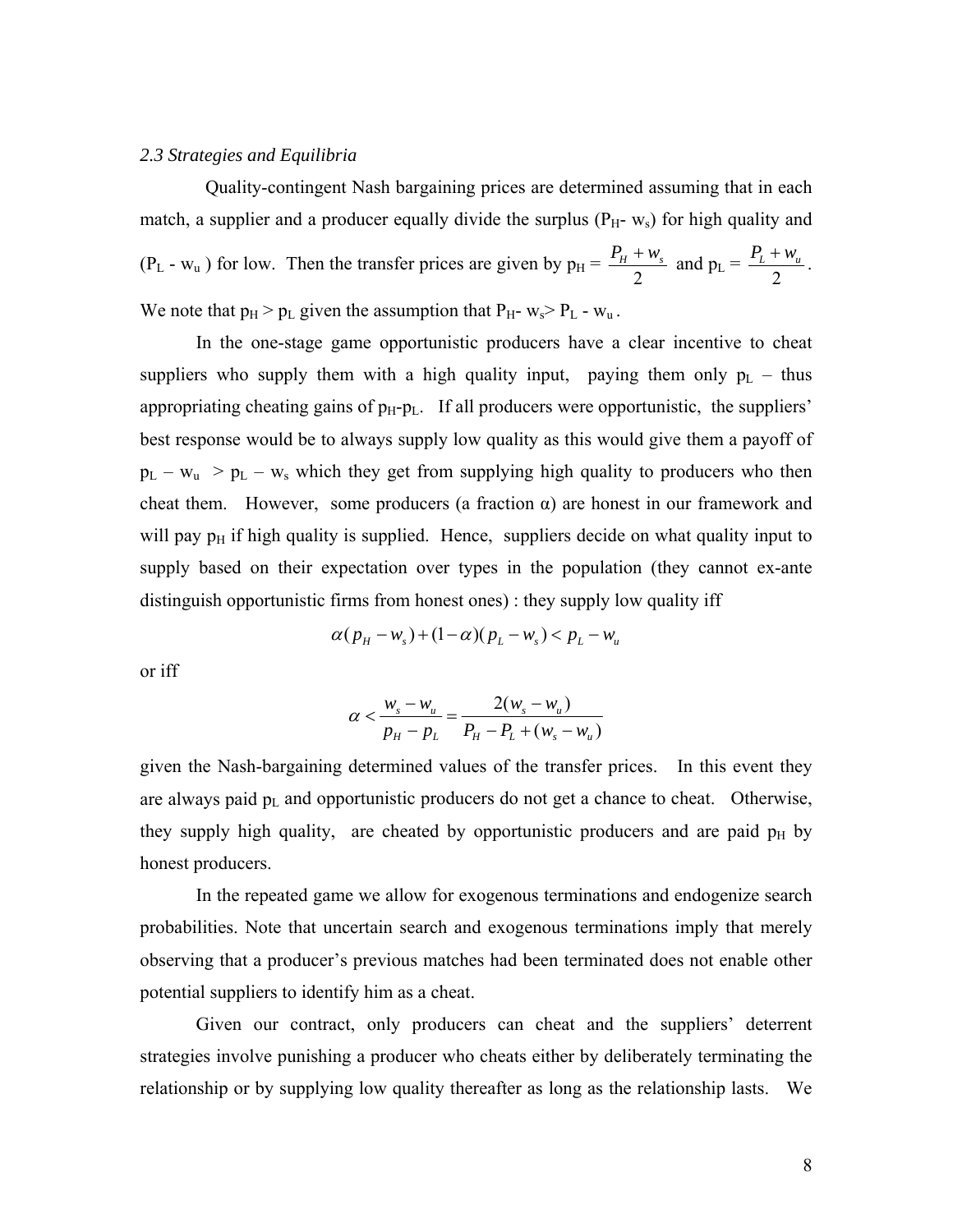#### *2.3 Strategies and Equilibria*

 Quality-contingent Nash bargaining prices are determined assuming that in each match, a supplier and a producer equally divide the surplus  $(P_H - w_s)$  for high quality and  $(P_L - w_u)$  for low. Then the transfer prices are given by  $p_H =$ 2  $\frac{P_H + w_s}{2}$  and  $p_L =$ 2  $\frac{P_{L} + w_{u}}{P_{L}}$ . We note that  $p_H > p_L$  given the assumption that  $P_H$ -  $w_s > P_L$  -  $w_u$ .

 In the one-stage game opportunistic producers have a clear incentive to cheat suppliers who supply them with a high quality input, paying them only  $p_L$  – thus appropriating cheating gains of  $p_H$ - $p_L$ . If all producers were opportunistic, the suppliers' best response would be to always supply low quality as this would give them a payoff of  $p_L - w_u > p_L - w_s$  which they get from supplying high quality to producers who then cheat them. However, some producers (a fraction  $\alpha$ ) are honest in our framework and will pay  $p_H$  if high quality is supplied. Hence, suppliers decide on what quality input to supply based on their expectation over types in the population (they cannot ex-ante distinguish opportunistic firms from honest ones) : they supply low quality iff

$$
\alpha(p_H - w_s) + (1 - \alpha)(p_L - w_s) < p_L - w_u
$$

or iff

$$
\alpha < \frac{w_s - w_u}{p_H - p_L} = \frac{2(w_s - w_u)}{P_H - P_L + (w_s - w_u)}
$$

given the Nash-bargaining determined values of the transfer prices. In this event they are always paid  $p_L$  and opportunistic producers do not get a chance to cheat. Otherwise, they supply high quality, are cheated by opportunistic producers and are paid  $p<sub>H</sub>$  by honest producers.

In the repeated game we allow for exogenous terminations and endogenize search probabilities. Note that uncertain search and exogenous terminations imply that merely observing that a producer's previous matches had been terminated does not enable other potential suppliers to identify him as a cheat.

Given our contract, only producers can cheat and the suppliers' deterrent strategies involve punishing a producer who cheats either by deliberately terminating the relationship or by supplying low quality thereafter as long as the relationship lasts. We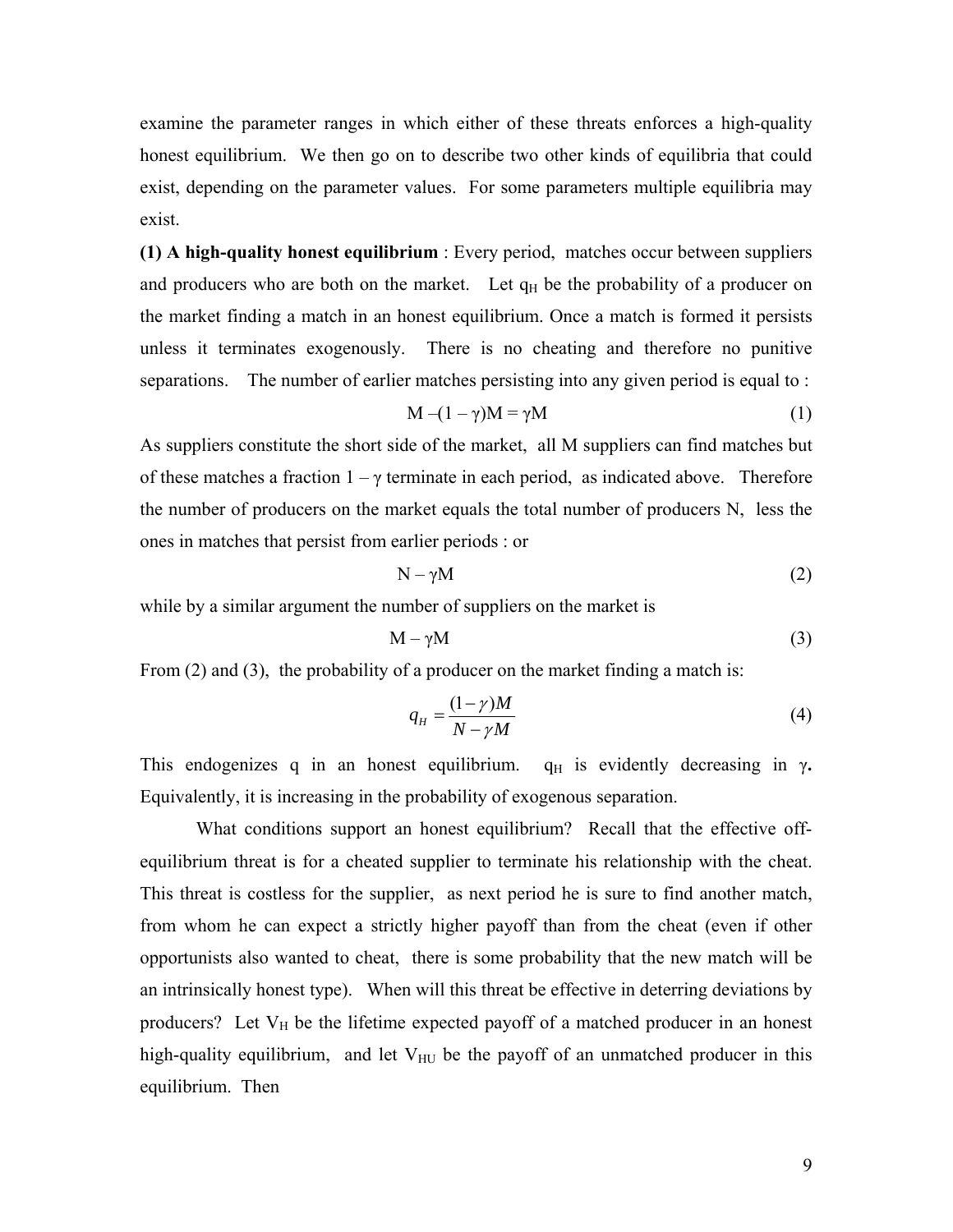examine the parameter ranges in which either of these threats enforces a high-quality honest equilibrium. We then go on to describe two other kinds of equilibria that could exist, depending on the parameter values. For some parameters multiple equilibria may exist.

**(1) A high-quality honest equilibrium** : Every period, matches occur between suppliers and producers who are both on the market. Let  $q_H$  be the probability of a producer on the market finding a match in an honest equilibrium. Once a match is formed it persists unless it terminates exogenously. There is no cheating and therefore no punitive separations. The number of earlier matches persisting into any given period is equal to :

$$
M - (1 - \gamma)M = \gamma M \tag{1}
$$

As suppliers constitute the short side of the market, all M suppliers can find matches but of these matches a fraction  $1 - \gamma$  terminate in each period, as indicated above. Therefore the number of producers on the market equals the total number of producers N, less the ones in matches that persist from earlier periods : or

$$
N - \gamma M \tag{2}
$$

while by a similar argument the number of suppliers on the market is

$$
M - \gamma M \tag{3}
$$

From (2) and (3), the probability of a producer on the market finding a match is:

$$
q_H = \frac{(1 - \gamma)M}{N - \gamma M} \tag{4}
$$

This endogenizes q in an honest equilibrium.  $q_H$  is evidently decreasing in  $\gamma$ . Equivalently, it is increasing in the probability of exogenous separation.

What conditions support an honest equilibrium? Recall that the effective offequilibrium threat is for a cheated supplier to terminate his relationship with the cheat. This threat is costless for the supplier, as next period he is sure to find another match, from whom he can expect a strictly higher payoff than from the cheat (even if other opportunists also wanted to cheat, there is some probability that the new match will be an intrinsically honest type). When will this threat be effective in deterring deviations by producers? Let  $V_H$  be the lifetime expected payoff of a matched producer in an honest high-quality equilibrium, and let  $V_{HU}$  be the payoff of an unmatched producer in this equilibrium. Then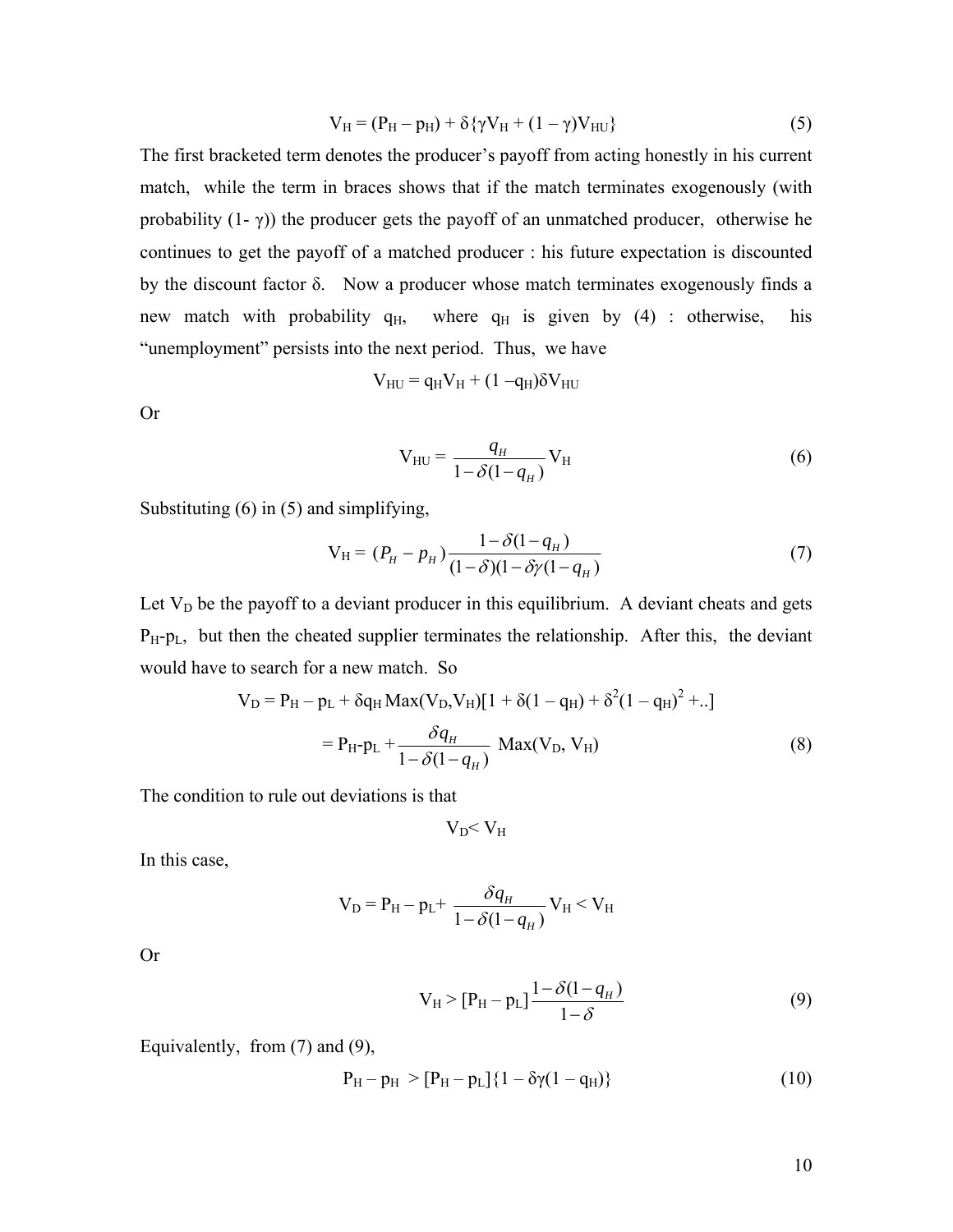$$
V_{H} = (P_{H} - p_{H}) + \delta \{\gamma V_{H} + (1 - \gamma)V_{HU}\}
$$
\n(5)

The first bracketed term denotes the producer's payoff from acting honestly in his current match, while the term in braces shows that if the match terminates exogenously (with probability  $(1 - \gamma)$ ) the producer gets the payoff of an unmatched producer, otherwise he continues to get the payoff of a matched producer : his future expectation is discounted by the discount factor δ. Now a producer whose match terminates exogenously finds a new match with probability  $q_H$ , where  $q_H$  is given by (4) : otherwise, his "unemployment" persists into the next period. Thus, we have

$$
V_{HU} = q_H V_H + (1 - q_H) \delta V_{HU}
$$

Or

$$
V_{HU} = \frac{q_H}{1 - \delta(1 - q_H)} V_H
$$
\n<sup>(6)</sup>

Substituting (6) in (5) and simplifying,

$$
V_H = (P_H - p_H) \frac{1 - \delta(1 - q_H)}{(1 - \delta)(1 - \delta \gamma (1 - q_H))}
$$
(7)

Let  $V_D$  be the payoff to a deviant producer in this equilibrium. A deviant cheats and gets  $P_H-p_L$ , but then the cheated supplier terminates the relationship. After this, the deviant would have to search for a new match. So

$$
V_{D} = P_{H} - p_{L} + \delta q_{H} Max(V_{D}, V_{H})[1 + \delta(1 - q_{H}) + \delta^{2}(1 - q_{H})^{2} + ..]
$$
  
=  $P_{H} - p_{L} + \frac{\delta q_{H}}{1 - \delta(1 - q_{H})}$  Max(V<sub>D</sub>, V<sub>H</sub>) (8)

The condition to rule out deviations is that

$$
V_D\!\!< V_H
$$

In this case,

$$
V_{D} = P_{H} - p_{L} + \frac{\delta q_{H}}{1 - \delta (1 - q_{H})} V_{H} < V_{H}
$$

Or

$$
V_{H} > [P_{H} - p_{L}] \frac{1 - \delta(1 - q_{H})}{1 - \delta}
$$
 (9)

Equivalently, from (7) and (9),

$$
P_{H} - p_{H} > [P_{H} - p_{L}] \{ 1 - \delta \gamma (1 - q_{H}) \}
$$
\n(10)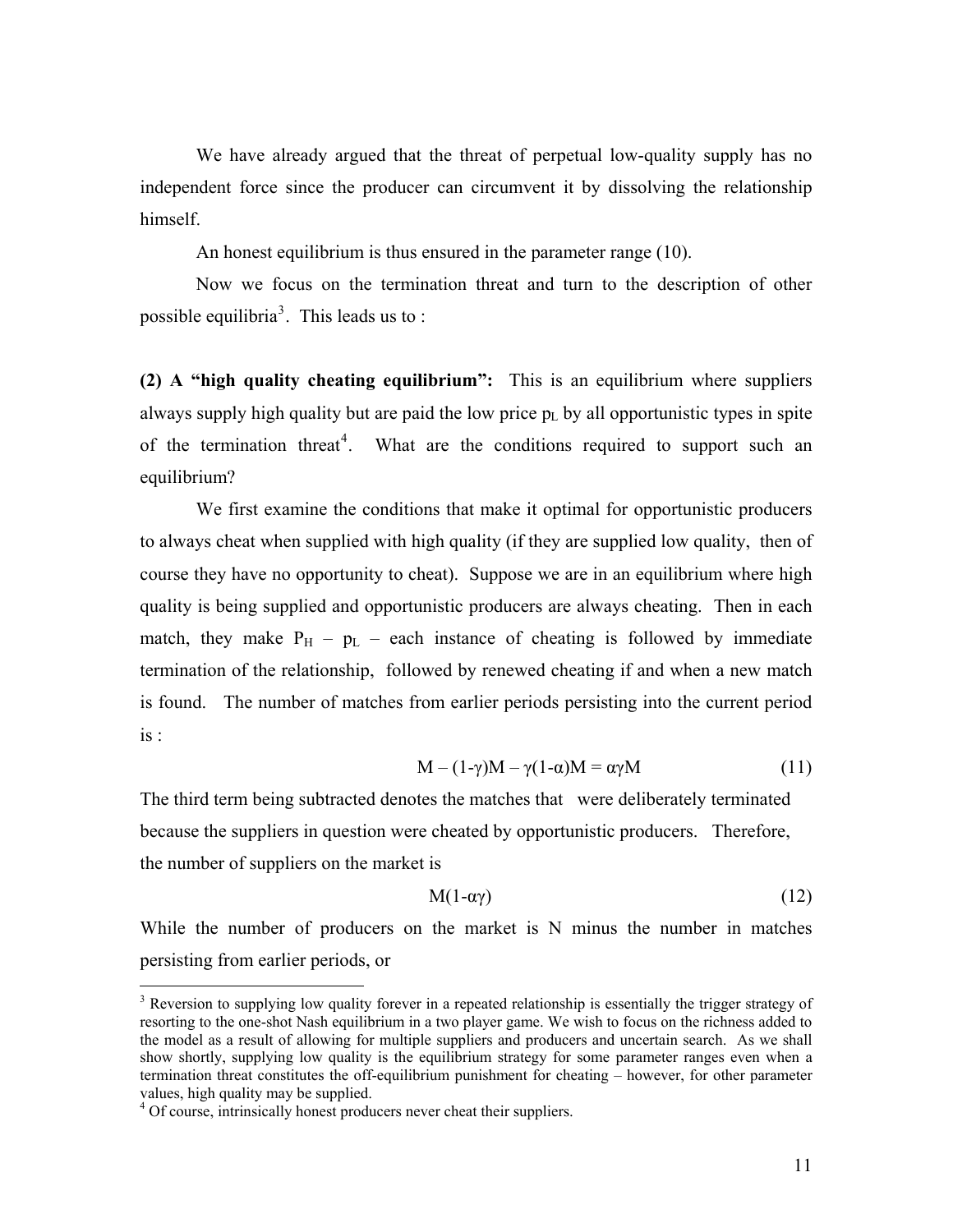We have already argued that the threat of perpetual low-quality supply has no independent force since the producer can circumvent it by dissolving the relationship himself.

An honest equilibrium is thus ensured in the parameter range (10).

Now we focus on the termination threat and turn to the description of other possible equilibria<sup>[3](#page-11-0)</sup>. This leads us to:

**(2) A "high quality cheating equilibrium":** This is an equilibrium where suppliers always supply high quality but are paid the low price  $p_L$  by all opportunistic types in spite of the termination threat<sup>[4](#page-11-1)</sup>. What are the conditions required to support such an equilibrium?

We first examine the conditions that make it optimal for opportunistic producers to always cheat when supplied with high quality (if they are supplied low quality, then of course they have no opportunity to cheat). Suppose we are in an equilibrium where high quality is being supplied and opportunistic producers are always cheating. Then in each match, they make  $P_H - p_L$  – each instance of cheating is followed by immediate termination of the relationship, followed by renewed cheating if and when a new match is found. The number of matches from earlier periods persisting into the current period is :

$$
M - (1-\gamma)M - \gamma(1-\alpha)M = \alpha\gamma M \tag{11}
$$

The third term being subtracted denotes the matches that were deliberately terminated because the suppliers in question were cheated by opportunistic producers. Therefore, the number of suppliers on the market is

$$
M(1-\alpha\gamma) \tag{12}
$$

While the number of producers on the market is N minus the number in matches persisting from earlier periods, or

 $\overline{a}$ 

<span id="page-11-0"></span><sup>&</sup>lt;sup>3</sup> Reversion to supplying low quality forever in a repeated relationship is essentially the trigger strategy of resorting to the one-shot Nash equilibrium in a two player game. We wish to focus on the richness added to the model as a result of allowing for multiple suppliers and producers and uncertain search. As we shall show shortly, supplying low quality is the equilibrium strategy for some parameter ranges even when a termination threat constitutes the off-equilibrium punishment for cheating – however, for other parameter values, high quality may be supplied.

<span id="page-11-1"></span><sup>&</sup>lt;sup>4</sup> Of course, intrinsically honest producers never cheat their suppliers.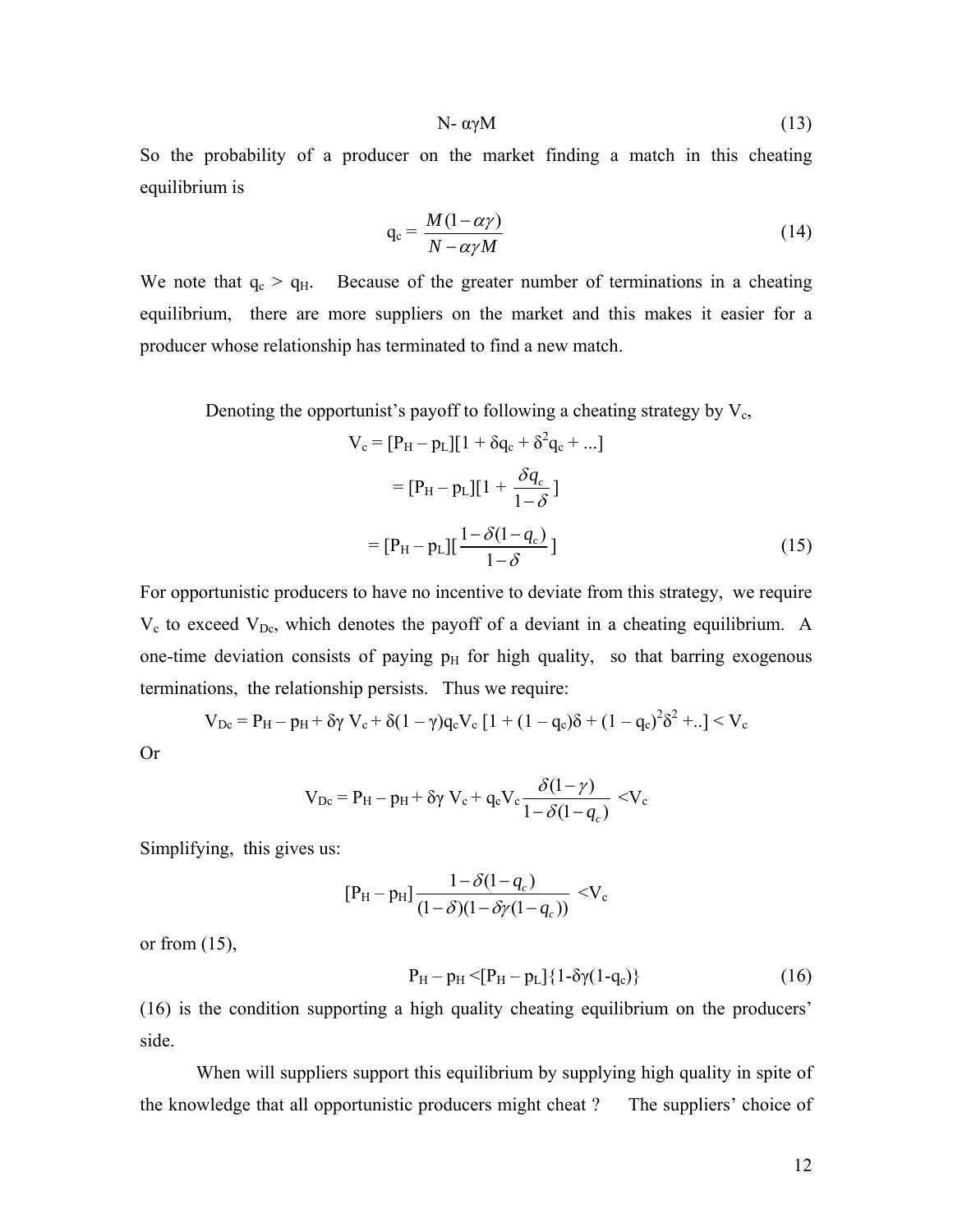$$
N-\alpha\gamma M\tag{13}
$$

So the probability of a producer on the market finding a match in this cheating equilibrium is

$$
q_c = \frac{M(1 - \alpha \gamma)}{N - \alpha \gamma M} \tag{14}
$$

We note that  $q_c > q_H$ . Because of the greater number of terminations in a cheating equilibrium, there are more suppliers on the market and this makes it easier for a producer whose relationship has terminated to find a new match.

Denoting the opportunist's payoff to following a cheating strategy by  $V_c$ ,

$$
V_c = [P_H - p_L][1 + \delta q_c + \delta^2 q_c + ...]
$$
  
=  $[P_H - p_L][1 + \frac{\delta q_c}{1 - \delta}]$   
=  $[P_H - p_L][\frac{1 - \delta(1 - q_c)}{1 - \delta}]$  (15)

For opportunistic producers to have no incentive to deviate from this strategy, we require  $V_c$  to exceed  $V_{Dc}$ , which denotes the payoff of a deviant in a cheating equilibrium. A one-time deviation consists of paying  $p<sub>H</sub>$  for high quality, so that barring exogenous terminations, the relationship persists. Thus we require:

$$
V_{Dc} = P_H - p_H + \delta \gamma V_c + \delta (1 - \gamma) q_c V_c [1 + (1 - q_c)\delta + (1 - q_c)^2 \delta^2 + ..] < V_c
$$

Or

$$
V_{Dc} = P_H - p_H + \delta \gamma V_c + q_c V_c \frac{\delta(1-\gamma)}{1-\delta(1-q_c)} \langle V_c
$$

Simplifying, this gives us:

$$
[P_H - p_H] \frac{1 - \delta(1 - q_c)}{(1 - \delta)(1 - \delta \gamma(1 - q_c))} < V_c
$$

or from  $(15)$ ,

$$
P_{H} - p_{H} < [P_{H} - p_{L}] \{ 1 - \delta \gamma (1 - q_{c}) \}
$$
 (16)

(16) is the condition supporting a high quality cheating equilibrium on the producers' side.

When will suppliers support this equilibrium by supplying high quality in spite of the knowledge that all opportunistic producers might cheat ? The suppliers' choice of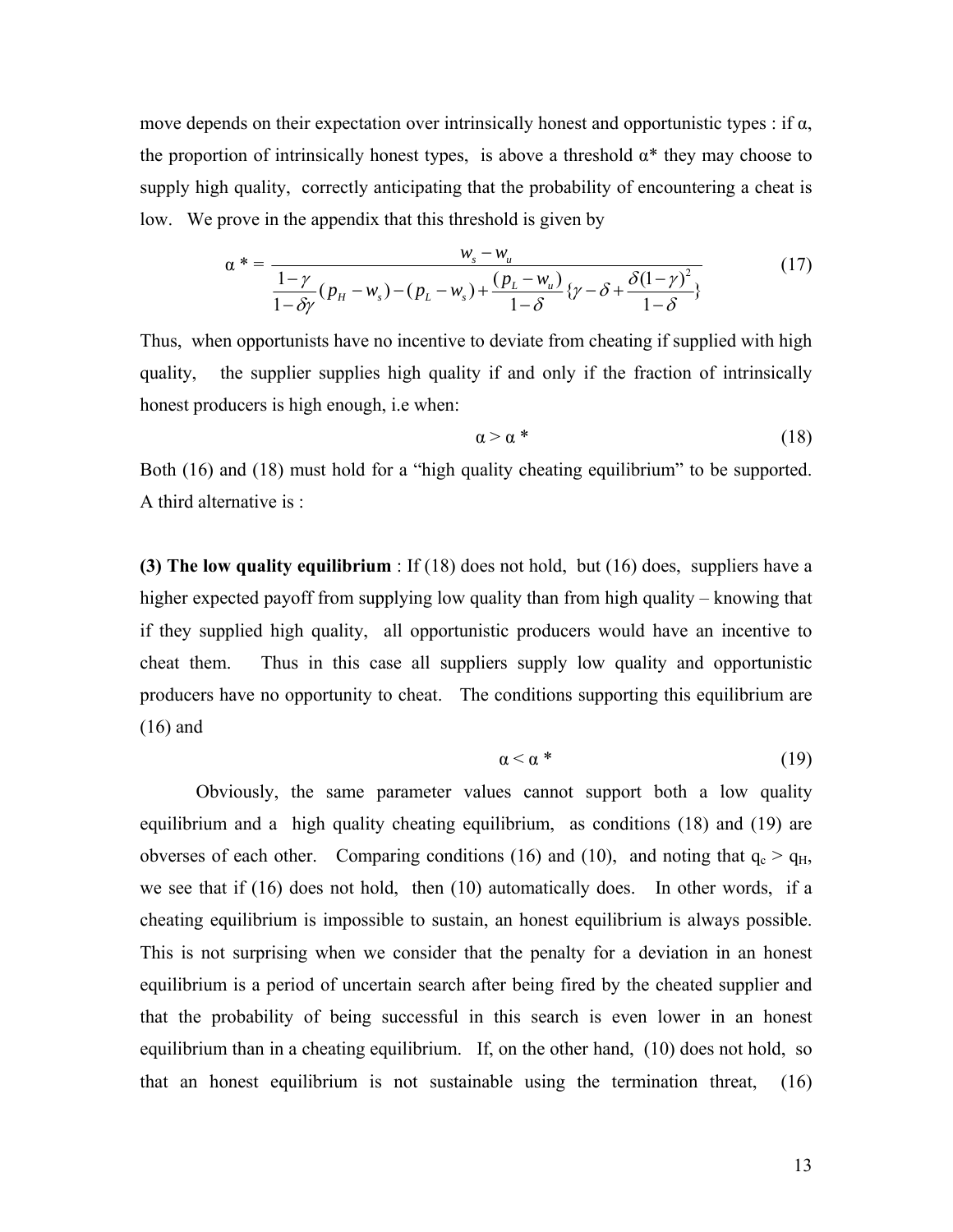move depends on their expectation over intrinsically honest and opportunistic types : if  $\alpha$ , the proportion of intrinsically honest types, is above a threshold  $\alpha^*$  they may choose to supply high quality, correctly anticipating that the probability of encountering a cheat is low. We prove in the appendix that this threshold is given by

$$
\alpha^* = \frac{w_s - w_u}{\frac{1 - \gamma}{1 - \delta\gamma}(p_H - w_s) - (p_L - w_s) + \frac{(p_L - w_u)}{1 - \delta}\{\gamma - \delta + \frac{\delta(1 - \gamma)^2}{1 - \delta}\}}
$$
(17)

Thus, when opportunists have no incentive to deviate from cheating if supplied with high quality, the supplier supplies high quality if and only if the fraction of intrinsically honest producers is high enough, i.e when:

$$
\alpha > \alpha \tag{18}
$$

Both (16) and (18) must hold for a "high quality cheating equilibrium" to be supported. A third alternative is :

**(3) The low quality equilibrium** : If (18) does not hold, but (16) does, suppliers have a higher expected payoff from supplying low quality than from high quality – knowing that if they supplied high quality, all opportunistic producers would have an incentive to cheat them. Thus in this case all suppliers supply low quality and opportunistic producers have no opportunity to cheat. The conditions supporting this equilibrium are (16) and

$$
\alpha < \alpha \tag{19}
$$

 Obviously, the same parameter values cannot support both a low quality equilibrium and a high quality cheating equilibrium, as conditions (18) and (19) are obverses of each other. Comparing conditions (16) and (10), and noting that  $q_c > q_H$ , we see that if (16) does not hold, then (10) automatically does. In other words, if a cheating equilibrium is impossible to sustain, an honest equilibrium is always possible. This is not surprising when we consider that the penalty for a deviation in an honest equilibrium is a period of uncertain search after being fired by the cheated supplier and that the probability of being successful in this search is even lower in an honest equilibrium than in a cheating equilibrium. If, on the other hand, (10) does not hold, so that an honest equilibrium is not sustainable using the termination threat, (16)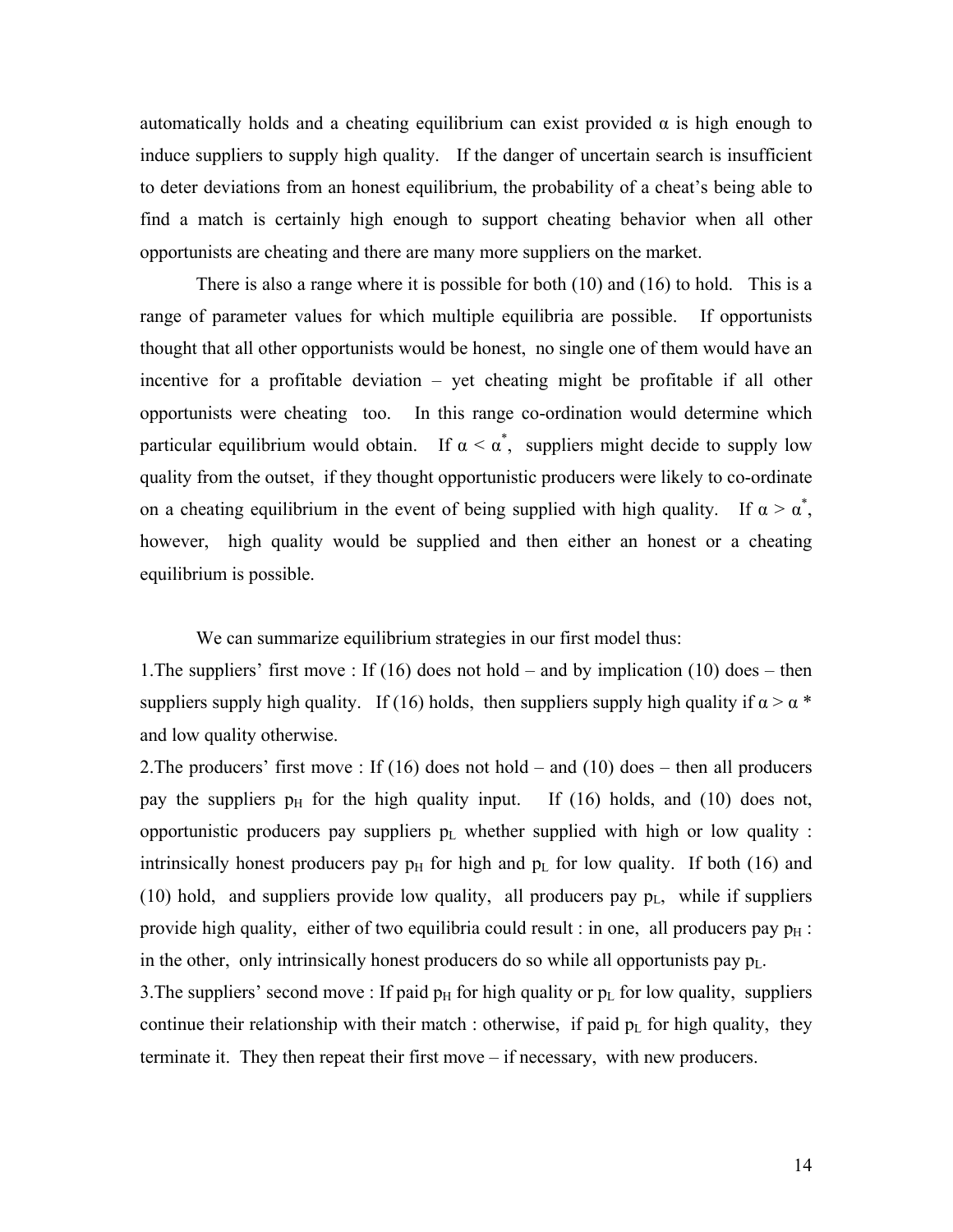automatically holds and a cheating equilibrium can exist provided  $\alpha$  is high enough to induce suppliers to supply high quality. If the danger of uncertain search is insufficient to deter deviations from an honest equilibrium, the probability of a cheat's being able to find a match is certainly high enough to support cheating behavior when all other opportunists are cheating and there are many more suppliers on the market.

There is also a range where it is possible for both (10) and (16) to hold. This is a range of parameter values for which multiple equilibria are possible. If opportunists thought that all other opportunists would be honest, no single one of them would have an incentive for a profitable deviation – yet cheating might be profitable if all other opportunists were cheating too. In this range co-ordination would determine which particular equilibrium would obtain. If  $\alpha < \alpha^*$ , suppliers might decide to supply low quality from the outset, if they thought opportunistic producers were likely to co-ordinate on a cheating equilibrium in the event of being supplied with high quality. If  $\alpha > \alpha^*$ , however, high quality would be supplied and then either an honest or a cheating equilibrium is possible.

We can summarize equilibrium strategies in our first model thus:

1.The suppliers' first move : If (16) does not hold – and by implication (10) does – then suppliers supply high quality. If (16) holds, then suppliers supply high quality if  $\alpha > \alpha^*$ and low quality otherwise.

2. The producers' first move : If (16) does not hold – and (10) does – then all producers pay the suppliers  $p_H$  for the high quality input. If (16) holds, and (10) does not, opportunistic producers pay suppliers  $p_L$  whether supplied with high or low quality : intrinsically honest producers pay  $p_H$  for high and  $p_L$  for low quality. If both (16) and (10) hold, and suppliers provide low quality, all producers pay  $p_L$ , while if suppliers provide high quality, either of two equilibria could result : in one, all producers pay  $p_H$  : in the other, only intrinsically honest producers do so while all opportunists pay  $p_L$ .

3. The suppliers' second move : If paid  $p_H$  for high quality or  $p_L$  for low quality, suppliers continue their relationship with their match : otherwise, if paid  $p_L$  for high quality, they terminate it. They then repeat their first move – if necessary, with new producers.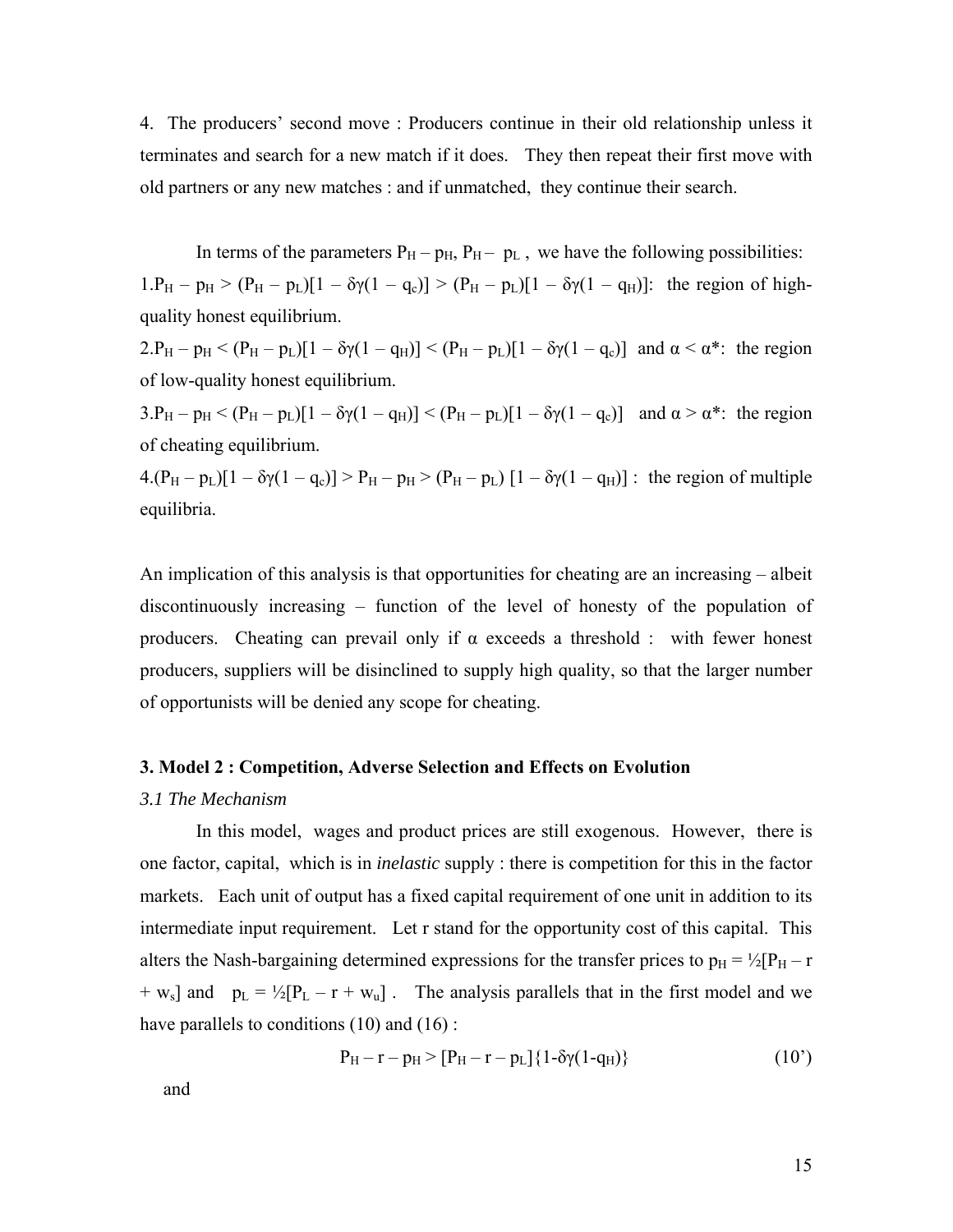4. The producers' second move : Producers continue in their old relationship unless it terminates and search for a new match if it does. They then repeat their first move with old partners or any new matches : and if unmatched, they continue their search.

In terms of the parameters  $P_H - p_H$ ,  $P_H - p_L$ , we have the following possibilities:  $1.P_H - p_H > (P_H - p_L)[1 - \delta \gamma (1 - q_c)] > (P_H - p_L)[1 - \delta \gamma (1 - q_H)]$ : the region of highquality honest equilibrium.

 $2.P_H - p_H < (P_H - p_L)[1 - \delta \gamma (1 - q_H)] < (P_H - p_L)[1 - \delta \gamma (1 - q_c)]$  and  $\alpha < \alpha^*$ : the region of low-quality honest equilibrium.

 $3.P_H - p_H < (P_H - p_L)[1 - \delta \gamma (1 - q_H)] < (P_H - p_L)[1 - \delta \gamma (1 - q_c)]$  and  $\alpha > \alpha^*$ : the region of cheating equilibrium.

 $4.(P_H - p_L)[1 - \delta \gamma (1 - q_c)] > P_H - p_H > (P_H - p_L)[1 - \delta \gamma (1 - q_H)]$ : the region of multiple equilibria.

An implication of this analysis is that opportunities for cheating are an increasing – albeit discontinuously increasing – function of the level of honesty of the population of producers. Cheating can prevail only if  $\alpha$  exceeds a threshold : with fewer honest producers, suppliers will be disinclined to supply high quality, so that the larger number of opportunists will be denied any scope for cheating.

#### **3. Model 2 : Competition, Adverse Selection and Effects on Evolution**

#### *3.1 The Mechanism*

In this model, wages and product prices are still exogenous. However, there is one factor, capital, which is in *inelastic* supply : there is competition for this in the factor markets. Each unit of output has a fixed capital requirement of one unit in addition to its intermediate input requirement. Let r stand for the opportunity cost of this capital. This alters the Nash-bargaining determined expressions for the transfer prices to  $p_H = \frac{1}{2} [P_H - r]$  $+ w_s$ ] and  $p_L = \frac{1}{2}[P_L - r + w_u]$ . The analysis parallels that in the first model and we have parallels to conditions (10) and (16):

$$
P_H - r - p_H > [P_H - r - p_L] \{1 - \delta \gamma (1 - q_H) \}
$$
 (10')

and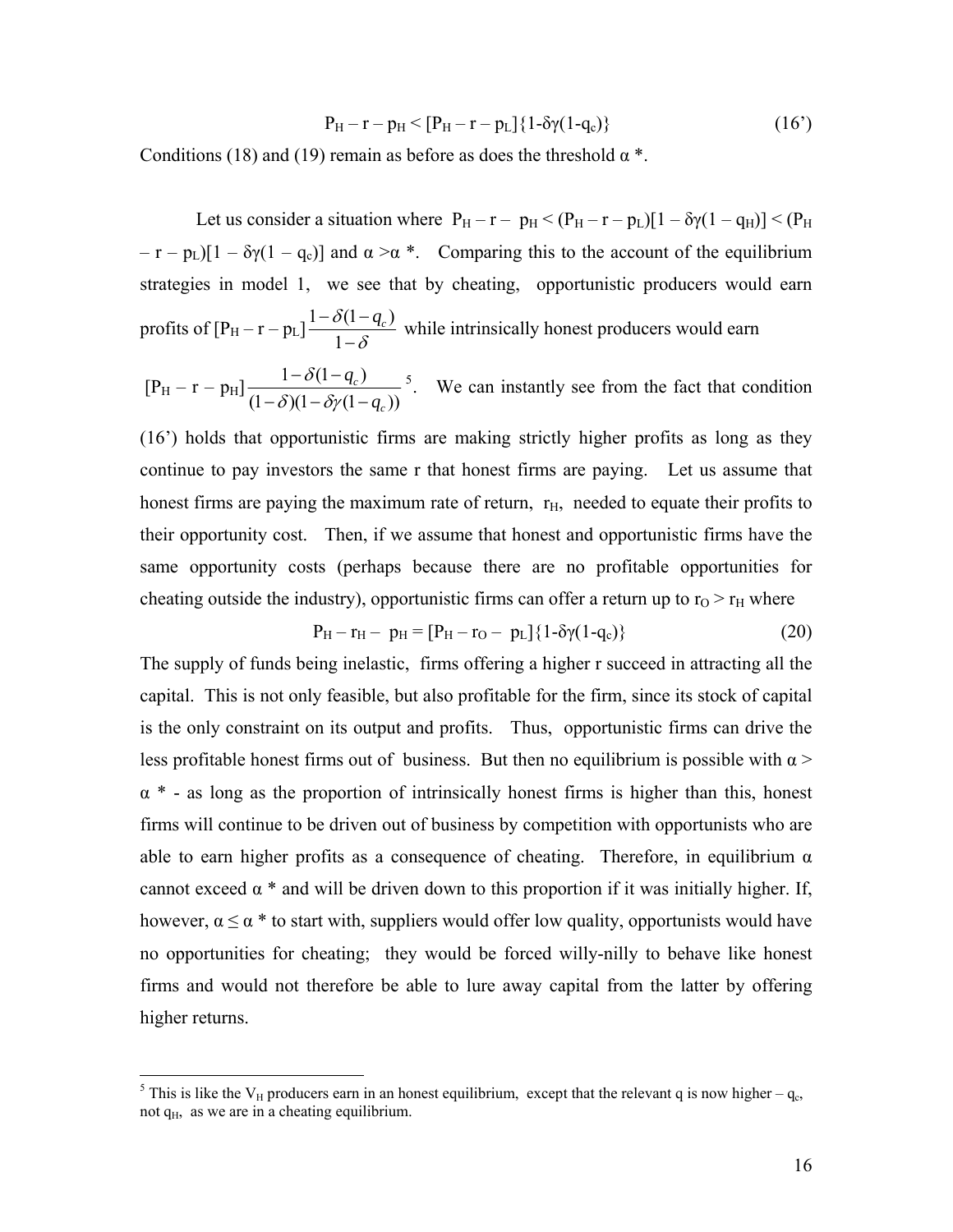$$
P_H - r - p_H < [P_H - r - p_L] \{ 1 - \delta \gamma (1 - q_c) \} \tag{16'}
$$

Conditions (18) and (19) remain as before as does the threshold  $\alpha^*$ .

Let us consider a situation where  $P_H - r - p_H < (P_H - r - p_L)[1 - \delta \gamma (1 - q_H)] < (P_H$  $- r - p_L$ [1 –  $\delta \gamma (1 - q_c)$ ] and  $\alpha > \alpha^*$ . Comparing this to the account of the equilibrium strategies in model 1, we see that by cheating, opportunistic producers would earn profits of  $[P_H - r - p_L] \frac{1 - \delta(1 - r)}{1 - r}$ 1  $\delta(1-q_c)$ δ  $-\frac{\delta(1-q_c)}{1-\delta}$  while intrinsically honest producers would earn

 $[P_{\rm H} - r - p_{\rm H}] \frac{1 - \delta (1 - q_c)}{q_c q_c q_c q_c q_c}$  $(1 - \delta)(1 - \delta \gamma(1 - q_{c}))$ *c c q q* δ  $\delta$ )(1 – δγ  $-\delta(1-\frac{1}{2})$  $-\delta(1-\delta\gamma(1-\gamma))$  $5$ . We can instantly see from the fact that condition

[\(16'\) holds that opportunistic firms are making strictly higher profits as long as they](#page-16-0)  [continue to pay investors the same r that honest firms are paying. Let us assume that](#page-16-0)  honest firms are paying the maximum rate of return,  $r<sub>H</sub>$  $r<sub>H</sub>$  $r<sub>H</sub>$ , needed to equate their profits to [their opportunity cost. Then, if we assume that honest and opportunistic firms have the](#page-16-0)  [same opportunity costs \(perhaps because there are no profitable opportunities for](#page-16-0)  cheating outside the industry), opportunistic firms can offer a return up to  $r_0 > r_H$  where

$$
P_H - r_H - p_H = [P_H - r_O - p_L] \{1 - \delta \gamma (1 - q_c) \}
$$
\n(20)

The supply of funds being inelastic, firms offering a higher r succeed in attracting all the capital. This is not only feasible, but also profitable for the firm, since its stock of capital is the only constraint on its output and profits. Thus, opportunistic firms can drive the less profitable honest firms out of business. But then no equilibrium is possible with  $\alpha$  >  $\alpha^*$  - as long as the proportion of intrinsically honest firms is higher than this, honest firms will continue to be driven out of business by competition with opportunists who are able to earn higher profits as a consequence of cheating. Therefore, in equilibrium  $\alpha$ cannot exceed  $\alpha$  \* and will be driven down to this proportion if it was initially higher. If, however,  $\alpha \le \alpha^*$  to start with, suppliers would offer low quality, opportunists would have no opportunities for cheating; they would be forced willy-nilly to behave like honest firms and would not therefore be able to lure away capital from the latter by offering higher returns.

<span id="page-16-0"></span><sup>&</sup>lt;sup>5</sup> This is like the V<sub>H</sub> producers earn in an honest equilibrium, except that the relevant q is now higher – q<sub>c</sub>, not  $q_H$ , as we are in a cheating equilibrium.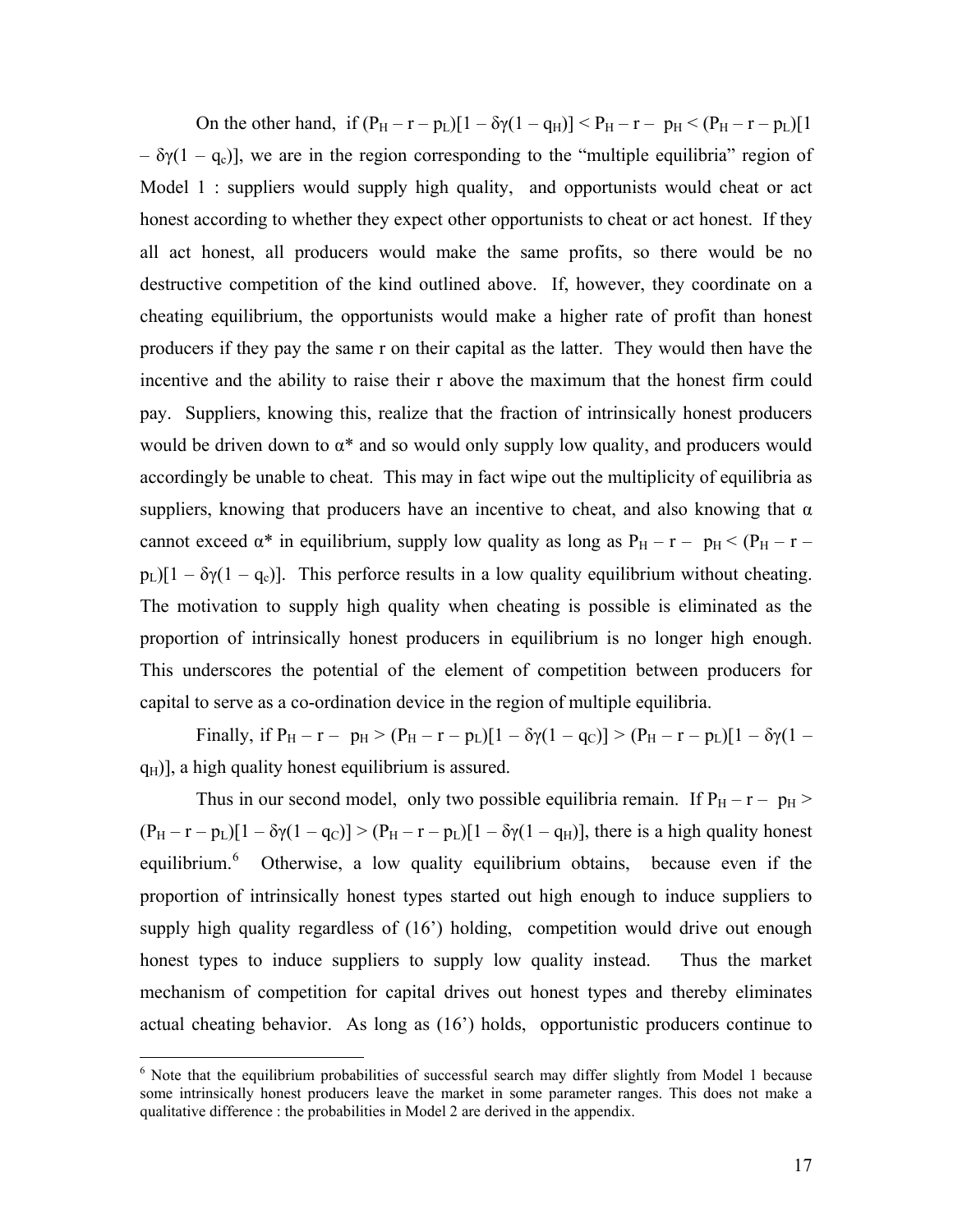On the other hand, if  $(P_H - r - p_L)[1 - \delta \gamma (1 - q_H)] < P_H - r - p_H < (P_H - r - p_L)[1$  $-\delta \gamma (1 - q_c)$ , we are in the region corresponding to the "multiple equilibria" region of Model 1 : suppliers would supply high quality, and opportunists would cheat or act honest according to whether they expect other opportunists to cheat or act honest. If they all act honest, all producers would make the same profits, so there would be no destructive competition of the kind outlined above. If, however, they coordinate on a cheating equilibrium, the opportunists would make a higher rate of profit than honest producers if they pay the same r on their capital as the latter. They would then have the incentive and the ability to raise their r above the maximum that the honest firm could pay. Suppliers, knowing this, realize that the fraction of intrinsically honest producers would be driven down to  $\alpha^*$  and so would only supply low quality, and producers would accordingly be unable to cheat. This may in fact wipe out the multiplicity of equilibria as suppliers, knowing that producers have an incentive to cheat, and also knowing that  $\alpha$ cannot exceed  $\alpha^*$  in equilibrium, supply low quality as long as  $P_H - r - p_H < (P_H - r p_L$ )[1 –  $\delta \gamma$ (1 – q<sub>c</sub>)]. This perforce results in a low quality equilibrium without cheating. The motivation to supply high quality when cheating is possible is eliminated as the proportion of intrinsically honest producers in equilibrium is no longer high enough. This underscores the potential of the element of competition between producers for capital to serve as a co-ordination device in the region of multiple equilibria.

Finally, if  $P_H - r - p_H > (P_H - r - p_L)[1 - \delta \gamma (1 - q_C)] > (P_H - r - p_L)[1 - \delta \gamma (1 - q_C)]$  $q_H$ )], a high quality honest equilibrium is assured.

Thus in our second model, only two possible equilibria remain. If  $P_H - r - p_H$  $(P_H - r - p_L)[1 - \delta \gamma (1 - q_C)] > (P_H - r - p_L)[1 - \delta \gamma (1 - q_H)],$  there is a high quality honest equilibrium.<sup>[6](#page-17-0)</sup> Otherwise, a low quality equilibrium obtains, because even if the proportion of intrinsically honest types started out high enough to induce suppliers to supply high quality regardless of (16<sup>'</sup>) holding, competition would drive out enough honest types to induce suppliers to supply low quality instead. Thus the market mechanism of competition for capital drives out honest types and thereby eliminates actual cheating behavior. As long as (16') holds, opportunistic producers continue to

 $\overline{a}$ 

<span id="page-17-0"></span><sup>&</sup>lt;sup>6</sup> Note that the equilibrium probabilities of successful search may differ slightly from Model 1 because some intrinsically honest producers leave the market in some parameter ranges. This does not make a qualitative difference : the probabilities in Model 2 are derived in the appendix.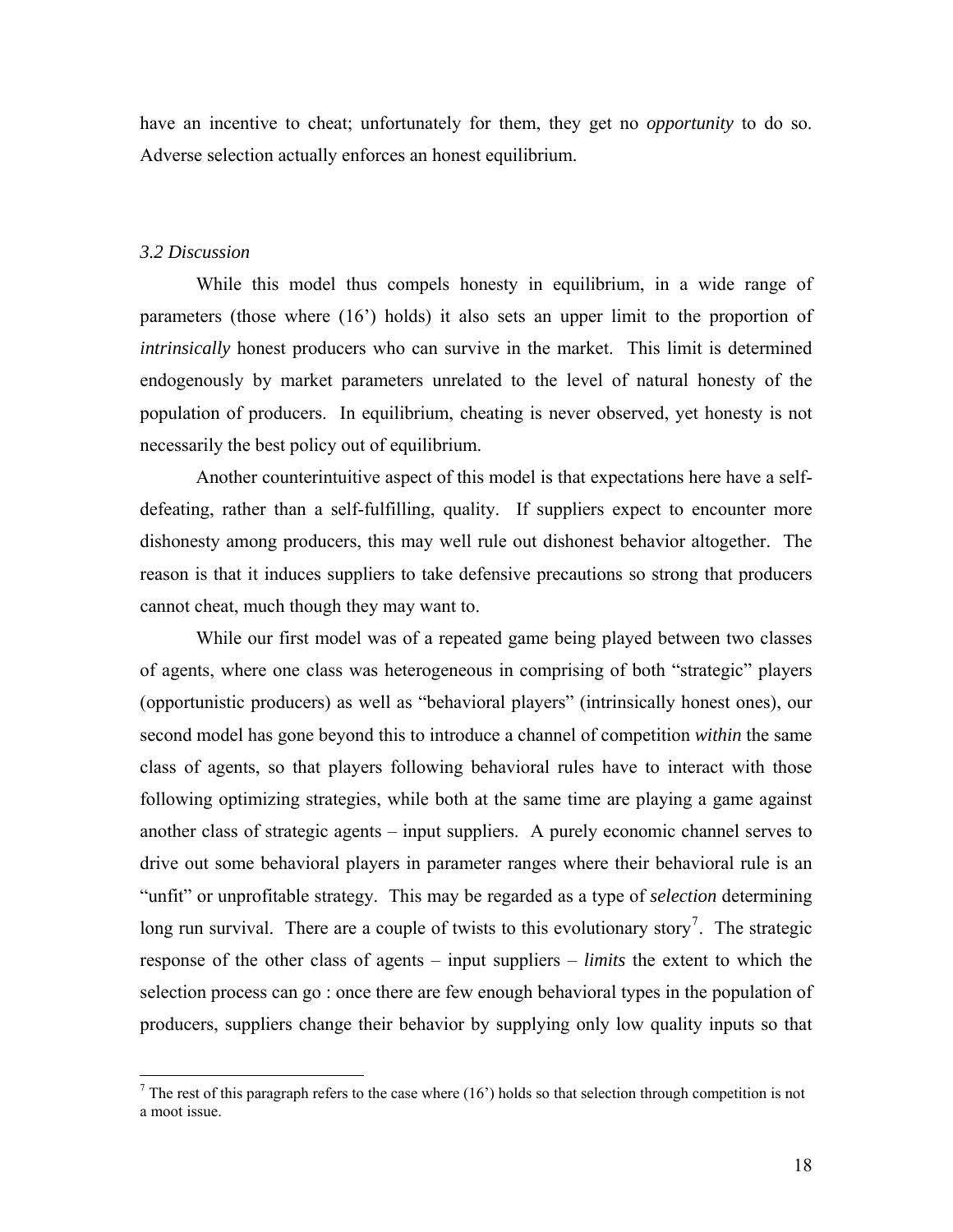have an incentive to cheat; unfortunately for them, they get no *opportunity* to do so. Adverse selection actually enforces an honest equilibrium.

#### *3.2 Discussion*

 While this model thus compels honesty in equilibrium, in a wide range of parameters (those where (16') holds) it also sets an upper limit to the proportion of *intrinsically* honest producers who can survive in the market. This limit is determined endogenously by market parameters unrelated to the level of natural honesty of the population of producers. In equilibrium, cheating is never observed, yet honesty is not necessarily the best policy out of equilibrium.

Another counterintuitive aspect of this model is that expectations here have a selfdefeating, rather than a self-fulfilling, quality. If suppliers expect to encounter more dishonesty among producers, this may well rule out dishonest behavior altogether. The reason is that it induces suppliers to take defensive precautions so strong that producers cannot cheat, much though they may want to.

While our first model was of a repeated game being played between two classes of agents, where one class was heterogeneous in comprising of both "strategic" players (opportunistic producers) as well as "behavioral players" (intrinsically honest ones), our second model has gone beyond this to introduce a channel of competition *within* the same class of agents, so that players following behavioral rules have to interact with those following optimizing strategies, while both at the same time are playing a game against another class of strategic agents – input suppliers. A purely economic channel serves to drive out some behavioral players in parameter ranges where their behavioral rule is an "unfit" or unprofitable strategy. This may be regarded as a type of *selection* determining long run survival. There are a couple of twists to this evolutionary story<sup>[7](#page-18-0)</sup>. The strategic response of the other class of agents – input suppliers – *limits* the extent to which the selection process can go : once there are few enough behavioral types in the population of producers, suppliers change their behavior by supplying only low quality inputs so that

<span id="page-18-0"></span><sup>&</sup>lt;sup>7</sup> The rest of this paragraph refers to the case where (16') holds so that selection through competition is not a moot issue.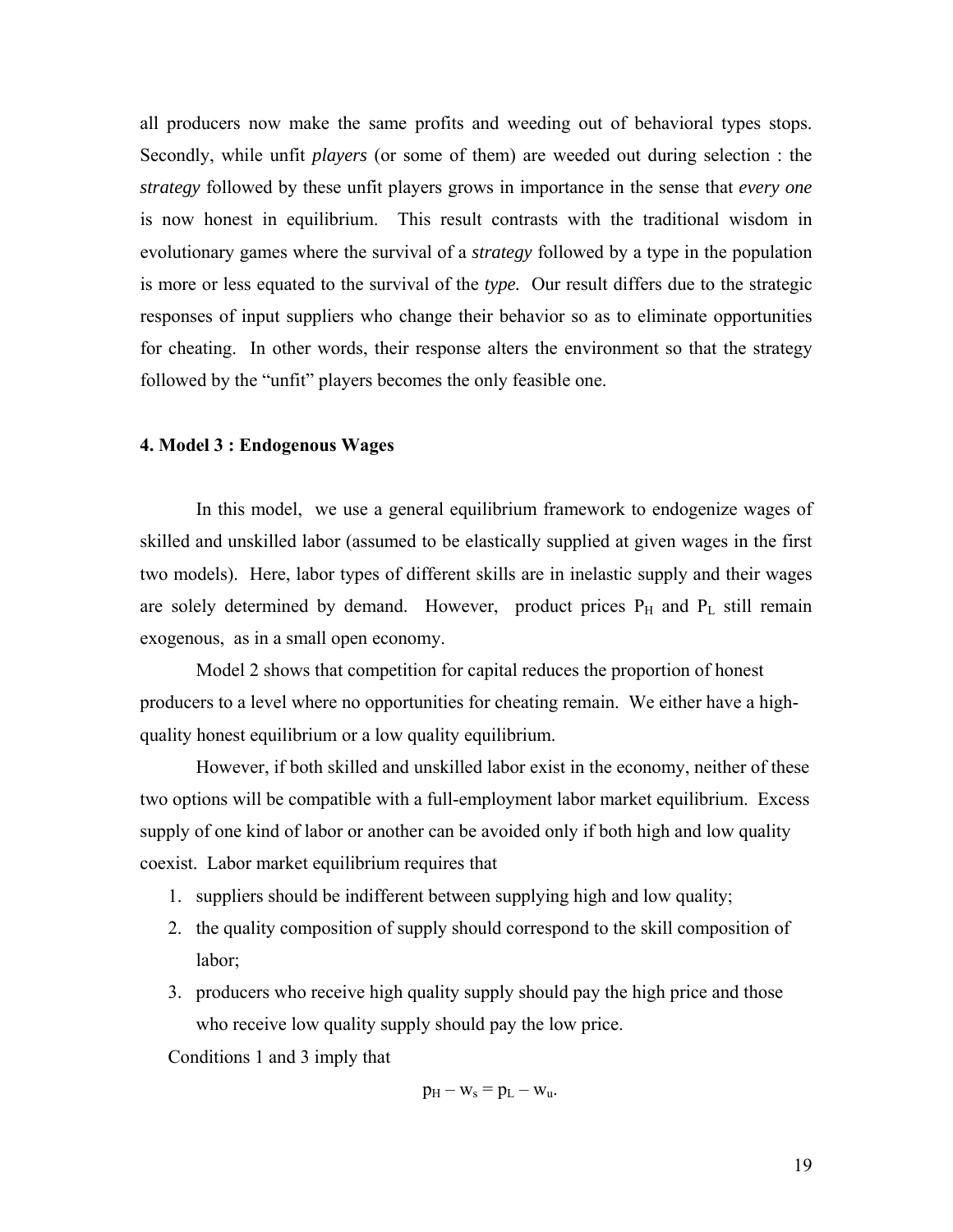all producers now make the same profits and weeding out of behavioral types stops. Secondly, while unfit *players* (or some of them) are weeded out during selection : the *strategy* followed by these unfit players grows in importance in the sense that *every one* is now honest in equilibrium. This result contrasts with the traditional wisdom in evolutionary games where the survival of a *strategy* followed by a type in the population is more or less equated to the survival of the *type.* Our result differs due to the strategic responses of input suppliers who change their behavior so as to eliminate opportunities for cheating. In other words, their response alters the environment so that the strategy followed by the "unfit" players becomes the only feasible one.

#### **4. Model 3 : Endogenous Wages**

In this model, we use a general equilibrium framework to endogenize wages of skilled and unskilled labor (assumed to be elastically supplied at given wages in the first two models). Here, labor types of different skills are in inelastic supply and their wages are solely determined by demand. However, product prices  $P_H$  and  $P_L$  still remain exogenous, as in a small open economy.

 Model 2 shows that competition for capital reduces the proportion of honest producers to a level where no opportunities for cheating remain. We either have a highquality honest equilibrium or a low quality equilibrium.

 However, if both skilled and unskilled labor exist in the economy, neither of these two options will be compatible with a full-employment labor market equilibrium. Excess supply of one kind of labor or another can be avoided only if both high and low quality coexist. Labor market equilibrium requires that

- 1. suppliers should be indifferent between supplying high and low quality;
- 2. the quality composition of supply should correspond to the skill composition of labor;
- 3. producers who receive high quality supply should pay the high price and those who receive low quality supply should pay the low price.

Conditions 1 and 3 imply that

$$
p_H - w_s = p_L - w_u.
$$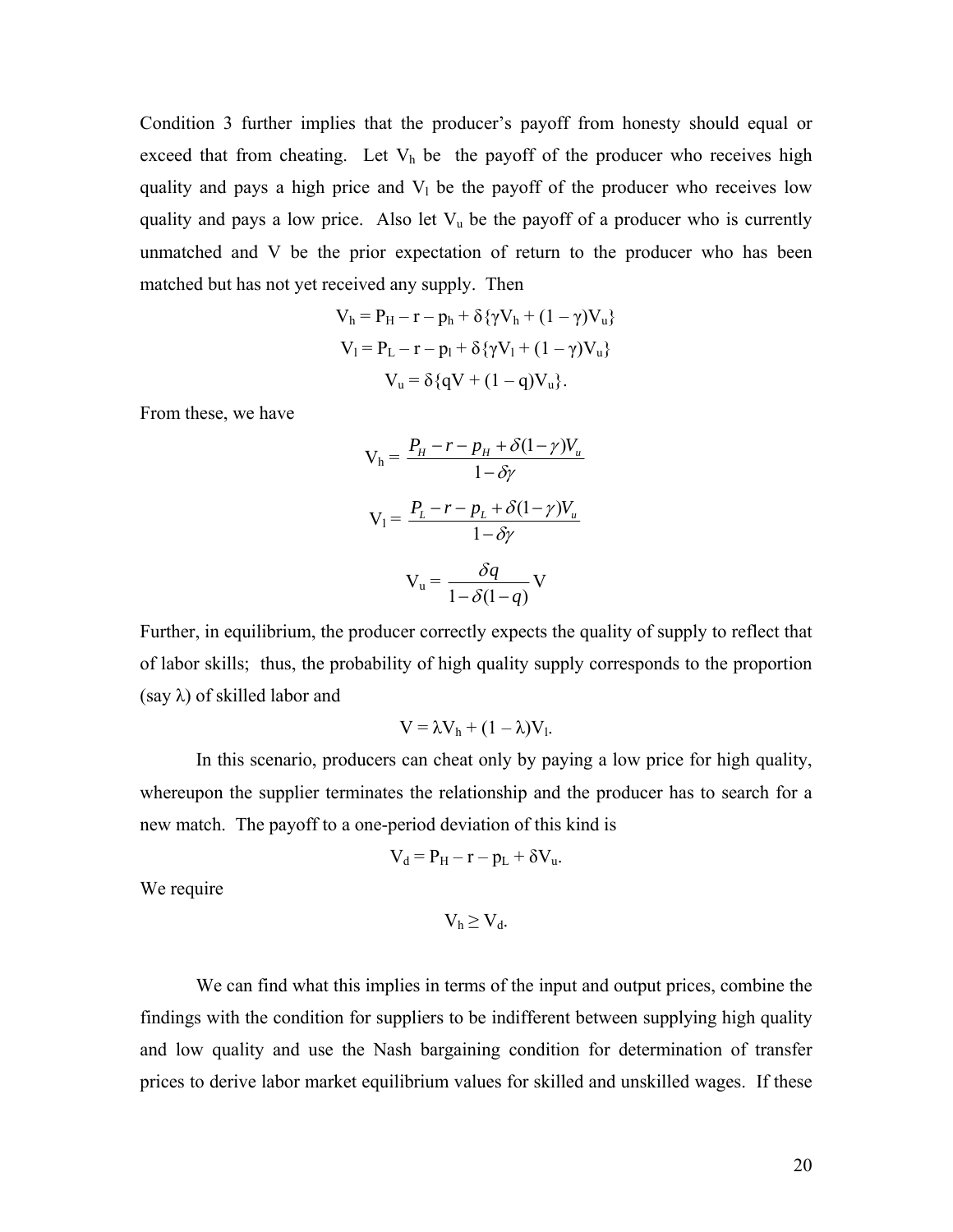Condition 3 further implies that the producer's payoff from honesty should equal or exceed that from cheating. Let  $V<sub>h</sub>$  be the payoff of the producer who receives high quality and pays a high price and  $V_1$  be the payoff of the producer who receives low quality and pays a low price. Also let  $V_u$  be the payoff of a producer who is currently unmatched and V be the prior expectation of return to the producer who has been matched but has not yet received any supply. Then

$$
V_h = P_H - r - p_h + \delta \{ \gamma V_h + (1 - \gamma) V_u \}
$$
  
\n
$$
V_l = P_L - r - p_l + \delta \{ \gamma V_l + (1 - \gamma) V_u \}
$$
  
\n
$$
V_u = \delta \{ qV + (1 - q)V_u \}.
$$

From these, we have

$$
V_{h} = \frac{P_{H} - r - p_{H} + \delta(1 - \gamma)V_{u}}{1 - \delta\gamma}
$$

$$
V_{1} = \frac{P_{L} - r - p_{L} + \delta(1 - \gamma)V_{u}}{1 - \delta\gamma}
$$

$$
V_{u} = \frac{\delta q}{1 - \delta(1 - q)} V
$$

Further, in equilibrium, the producer correctly expects the quality of supply to reflect that of labor skills; thus, the probability of high quality supply corresponds to the proportion (say  $\lambda$ ) of skilled labor and

$$
V = \lambda V_h + (1 - \lambda)V_l.
$$

 In this scenario, producers can cheat only by paying a low price for high quality, whereupon the supplier terminates the relationship and the producer has to search for a new match. The payoff to a one-period deviation of this kind is

$$
V_d = P_H - r - p_L + \delta V_u.
$$

We require

$$
V_h\geq V_d.
$$

We can find what this implies in terms of the input and output prices, combine the findings with the condition for suppliers to be indifferent between supplying high quality and low quality and use the Nash bargaining condition for determination of transfer prices to derive labor market equilibrium values for skilled and unskilled wages. If these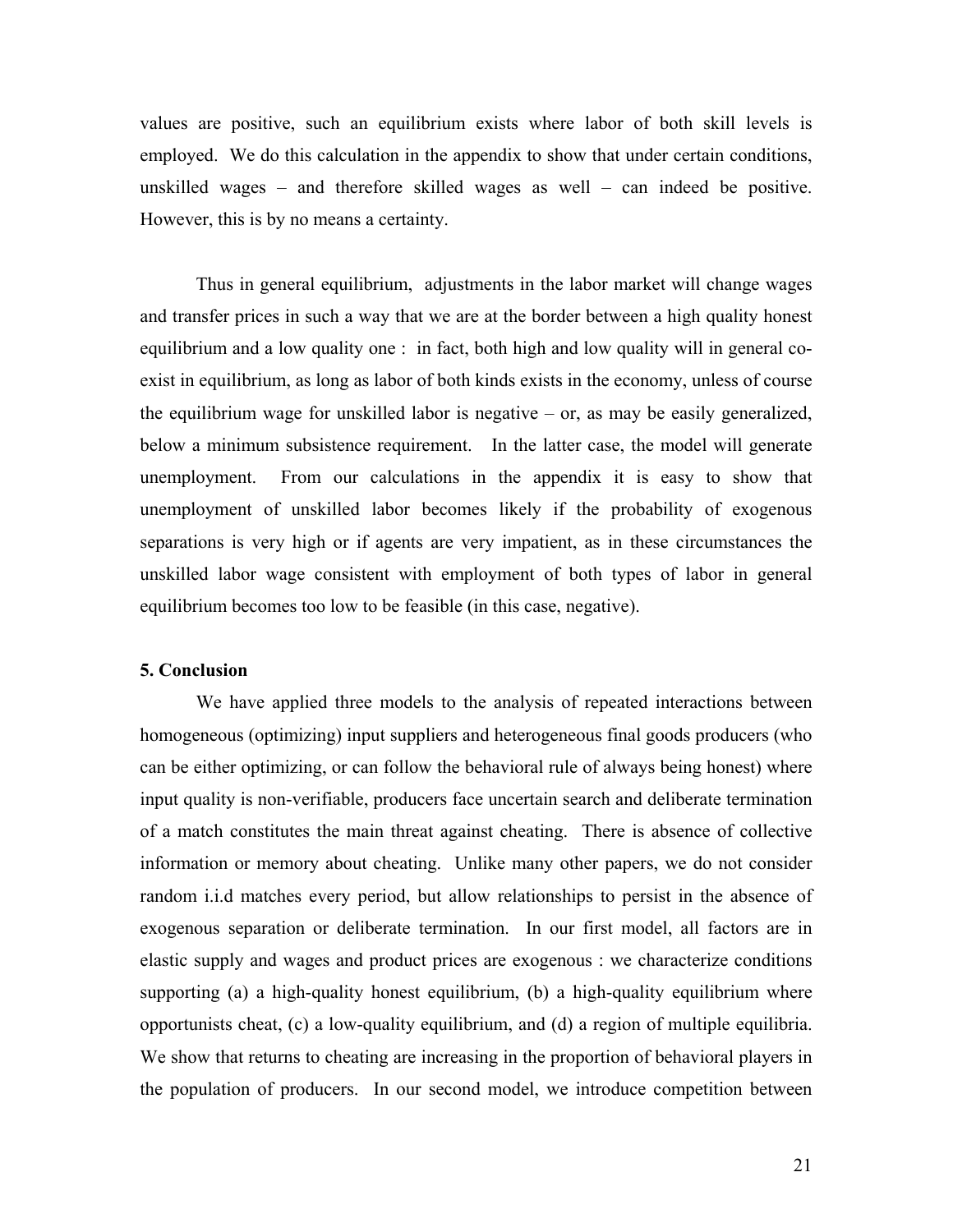values are positive, such an equilibrium exists where labor of both skill levels is employed. We do this calculation in the appendix to show that under certain conditions, unskilled wages – and therefore skilled wages as well – can indeed be positive. However, this is by no means a certainty.

 Thus in general equilibrium, adjustments in the labor market will change wages and transfer prices in such a way that we are at the border between a high quality honest equilibrium and a low quality one : in fact, both high and low quality will in general coexist in equilibrium, as long as labor of both kinds exists in the economy, unless of course the equilibrium wage for unskilled labor is negative – or, as may be easily generalized, below a minimum subsistence requirement. In the latter case, the model will generate unemployment. From our calculations in the appendix it is easy to show that unemployment of unskilled labor becomes likely if the probability of exogenous separations is very high or if agents are very impatient, as in these circumstances the unskilled labor wage consistent with employment of both types of labor in general equilibrium becomes too low to be feasible (in this case, negative).

#### **5. Conclusion**

 We have applied three models to the analysis of repeated interactions between homogeneous (optimizing) input suppliers and heterogeneous final goods producers (who can be either optimizing, or can follow the behavioral rule of always being honest) where input quality is non-verifiable, producers face uncertain search and deliberate termination of a match constitutes the main threat against cheating. There is absence of collective information or memory about cheating. Unlike many other papers, we do not consider random i.i.d matches every period, but allow relationships to persist in the absence of exogenous separation or deliberate termination. In our first model, all factors are in elastic supply and wages and product prices are exogenous : we characterize conditions supporting (a) a high-quality honest equilibrium, (b) a high-quality equilibrium where opportunists cheat, (c) a low-quality equilibrium, and (d) a region of multiple equilibria. We show that returns to cheating are increasing in the proportion of behavioral players in the population of producers. In our second model, we introduce competition between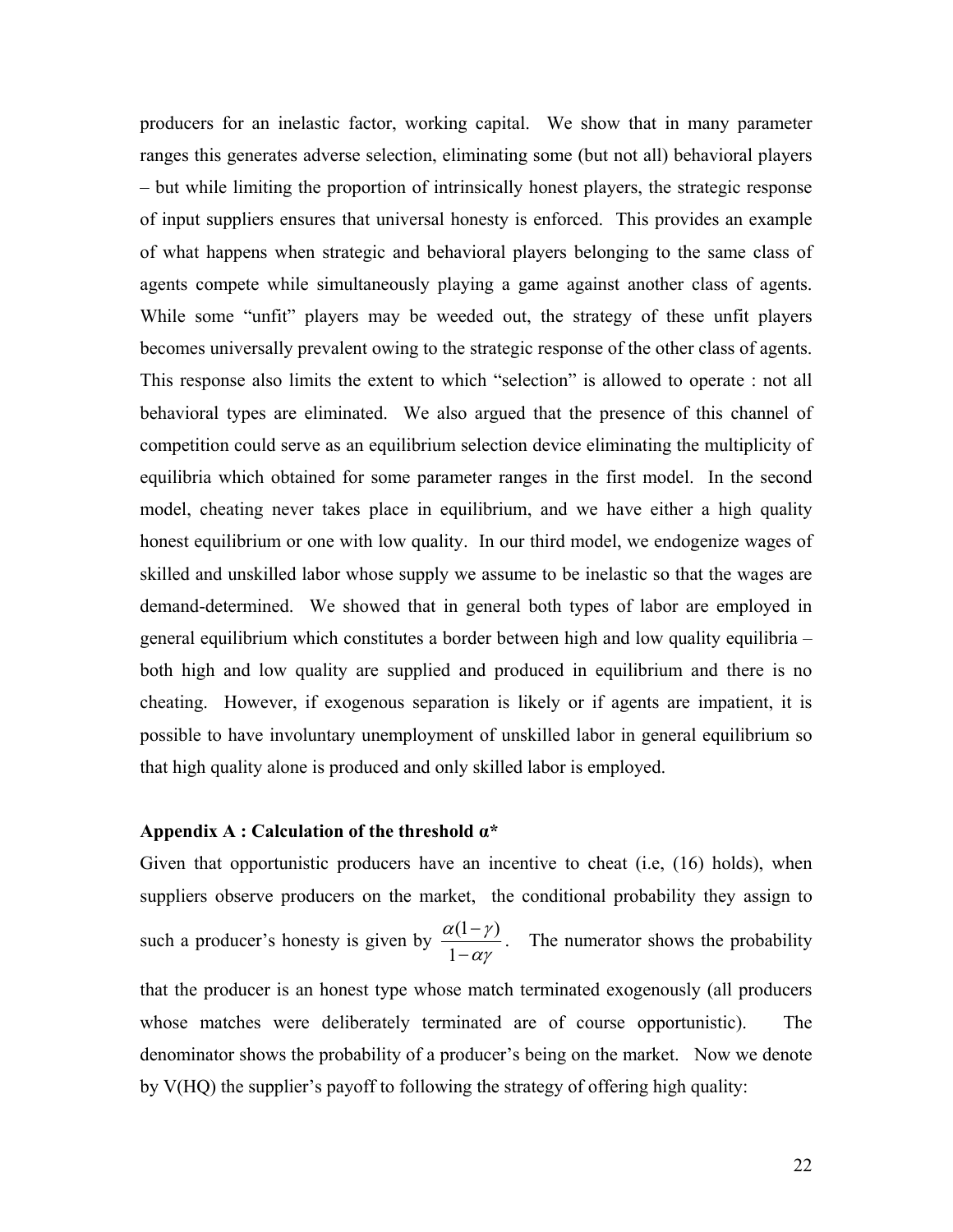producers for an inelastic factor, working capital. We show that in many parameter ranges this generates adverse selection, eliminating some (but not all) behavioral players – but while limiting the proportion of intrinsically honest players, the strategic response of input suppliers ensures that universal honesty is enforced. This provides an example of what happens when strategic and behavioral players belonging to the same class of agents compete while simultaneously playing a game against another class of agents. While some "unfit" players may be weeded out, the strategy of these unfit players becomes universally prevalent owing to the strategic response of the other class of agents. This response also limits the extent to which "selection" is allowed to operate : not all behavioral types are eliminated. We also argued that the presence of this channel of competition could serve as an equilibrium selection device eliminating the multiplicity of equilibria which obtained for some parameter ranges in the first model. In the second model, cheating never takes place in equilibrium, and we have either a high quality honest equilibrium or one with low quality. In our third model, we endogenize wages of skilled and unskilled labor whose supply we assume to be inelastic so that the wages are demand-determined. We showed that in general both types of labor are employed in general equilibrium which constitutes a border between high and low quality equilibria – both high and low quality are supplied and produced in equilibrium and there is no cheating. However, if exogenous separation is likely or if agents are impatient, it is possible to have involuntary unemployment of unskilled labor in general equilibrium so that high quality alone is produced and only skilled labor is employed.

#### **Appendix A : Calculation of the threshold α\***

Given that opportunistic producers have an incentive to cheat (i.e, (16) holds), when suppliers observe producers on the market, the conditional probability they assign to such a producer's honesty is given by  $\frac{\alpha(1 - \gamma)}{1}$ 1  $\alpha$ (1 –  $\gamma$ αγ  $\frac{(1-\gamma)}{-\alpha\gamma}$ . The numerator shows the probability that the producer is an honest type whose match terminated exogenously (all producers whose matches were deliberately terminated are of course opportunistic). The denominator shows the probability of a producer's being on the market. Now we denote by V(HQ) the supplier's payoff to following the strategy of offering high quality: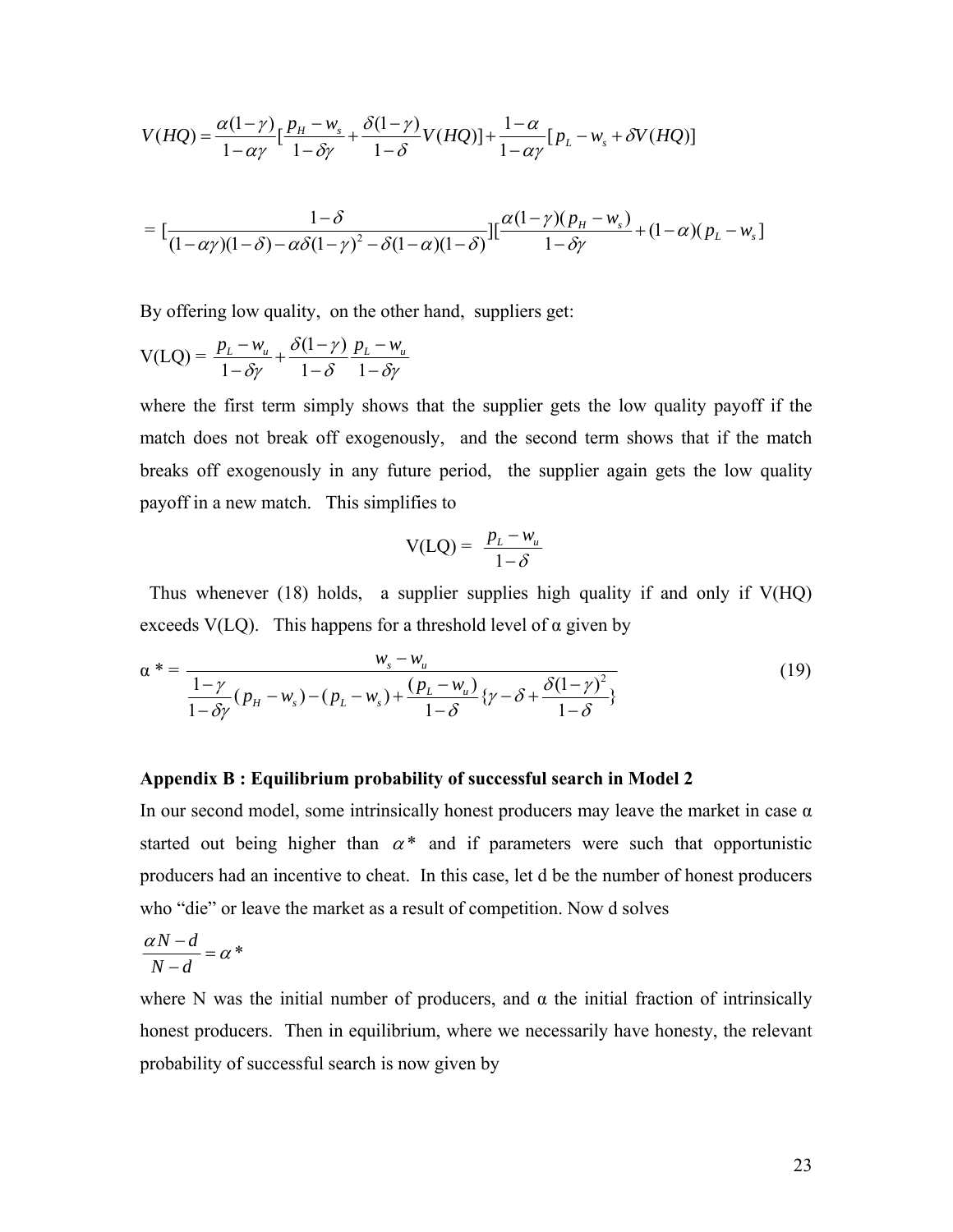$$
V(HQ) = \frac{\alpha(1-\gamma)}{1-\alpha\gamma} \Big[ \frac{p_H - w_s}{1-\delta\gamma} + \frac{\delta(1-\gamma)}{1-\delta} V(HQ) \Big] + \frac{1-\alpha}{1-\alpha\gamma} \Big[ p_L - w_s + \delta V(HQ) \Big]
$$
  
= 
$$
\Big[ \frac{1-\delta}{(1-\alpha\gamma)(1-\delta) - \alpha\delta(1-\gamma)^2 - \delta(1-\alpha)(1-\delta)} \Big] \Big[ \frac{\alpha(1-\gamma)(p_H - w_s)}{1-\delta\gamma} + (1-\alpha)(p_L - w_s) \Big]
$$

By offering low quality, on the other hand, suppliers get:

$$
V(LQ) = \frac{p_L - w_u}{1 - \delta \gamma} + \frac{\delta(1 - \gamma)}{1 - \delta} \frac{p_L - w_u}{1 - \delta \gamma}
$$

where the first term simply shows that the supplier gets the low quality payoff if the match does not break off exogenously, and the second term shows that if the match breaks off exogenously in any future period, the supplier again gets the low quality payoff in a new match. This simplifies to

$$
V(LQ) = \frac{p_L - w_u}{1 - \delta}
$$

 Thus whenever (18) holds, a supplier supplies high quality if and only if V(HQ) exceeds V(LO). This happens for a threshold level of  $\alpha$  given by

$$
\alpha^* = \frac{w_s - w_u}{\frac{1 - \gamma}{1 - \delta\gamma}(p_H - w_s) - (p_L - w_s) + \frac{(p_L - w_u)}{1 - \delta}\{\gamma - \delta + \frac{\delta(1 - \gamma)^2}{1 - \delta}\}}
$$
(19)

#### **Appendix B : Equilibrium probability of successful search in Model 2**

In our second model, some intrinsically honest producers may leave the market in case  $\alpha$ started out being higher than  $\alpha^*$  and if parameters were such that opportunistic producers had an incentive to cheat. In this case, let d be the number of honest producers who "die" or leave the market as a result of competition. Now d solves

$$
\frac{\alpha N - d}{N - d} = \alpha^*
$$

where N was the initial number of producers, and  $\alpha$  the initial fraction of intrinsically honest producers. Then in equilibrium, where we necessarily have honesty, the relevant probability of successful search is now given by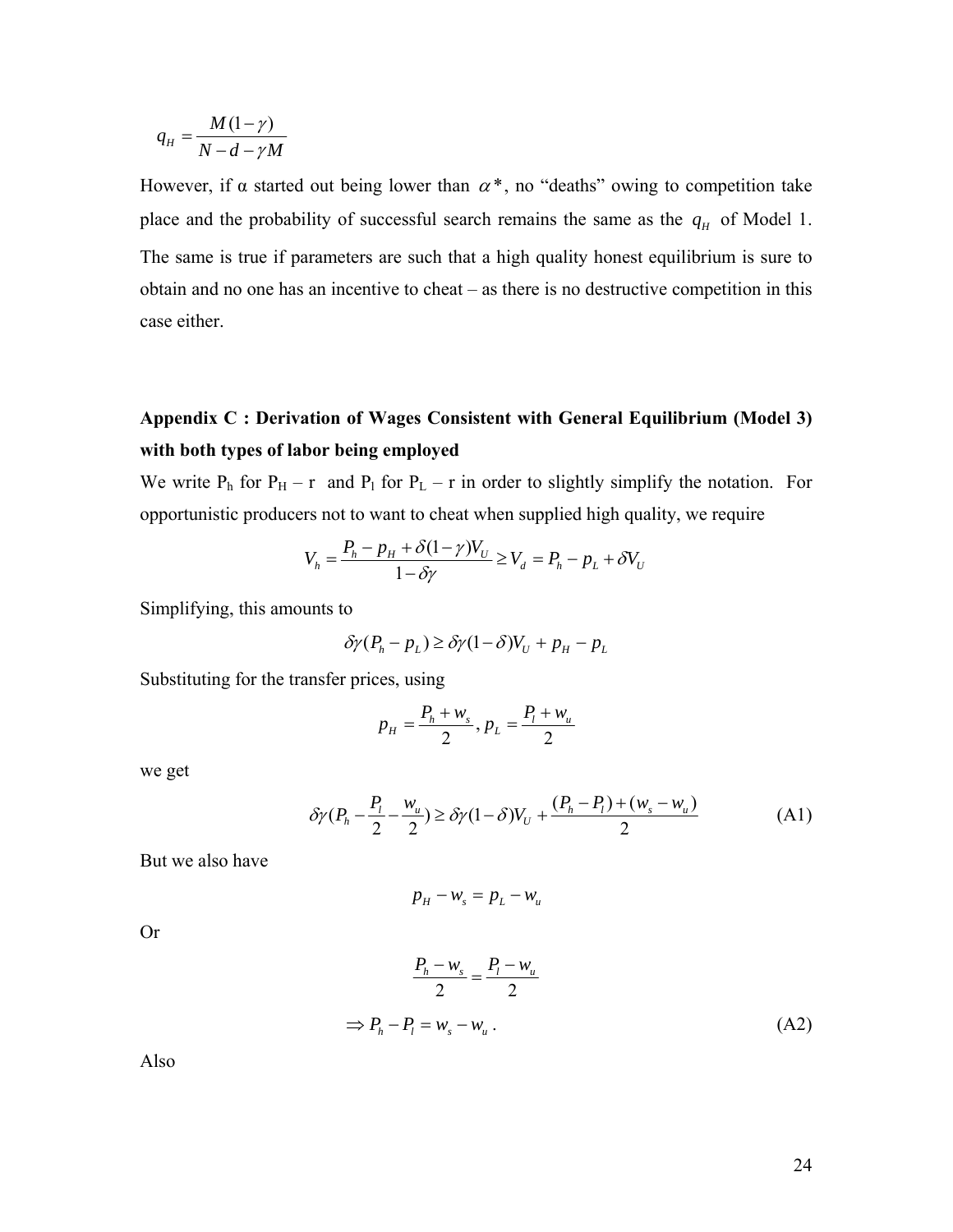$$
q_{H} = \frac{M(1-\gamma)}{N-d-\gamma M}
$$

However, if  $\alpha$  started out being lower than  $\alpha^*$ , no "deaths" owing to competition take place and the probability of successful search remains the same as the  $q_H$  of Model 1. The same is true if parameters are such that a high quality honest equilibrium is sure to obtain and no one has an incentive to cheat – as there is no destructive competition in this case either.

### **Appendix C : Derivation of Wages Consistent with General Equilibrium (Model 3) with both types of labor being employed**

We write  $P_h$  for  $P_H - r$  and  $P_l$  for  $P_L - r$  in order to slightly simplify the notation. For opportunistic producers not to want to cheat when supplied high quality, we require

$$
V_h = \frac{P_h - p_H + \delta(1 - \gamma)V_U}{1 - \delta\gamma} \ge V_d = P_h - p_L + \delta V_U
$$

Simplifying, this amounts to

$$
\delta \gamma (P_h - p_L) \ge \delta \gamma (1 - \delta) V_U + p_H - p_L
$$

Substituting for the transfer prices, using

$$
p_{H} = \frac{P_{h} + w_{s}}{2}, p_{L} = \frac{P_{l} + w_{u}}{2}
$$

we get

$$
\delta \gamma (P_h - \frac{P_l}{2} - \frac{w_u}{2}) \ge \delta \gamma (1 - \delta) V_U + \frac{(P_h - P_l) + (w_s - w_u)}{2}
$$
 (A1)

But we also have

$$
p_H - w_s = p_L - w_u
$$

Or

$$
\frac{P_h - w_s}{2} = \frac{P_l - w_u}{2}
$$
  
\n
$$
\Rightarrow P_h - P_l = w_s - w_u.
$$
 (A2)

Also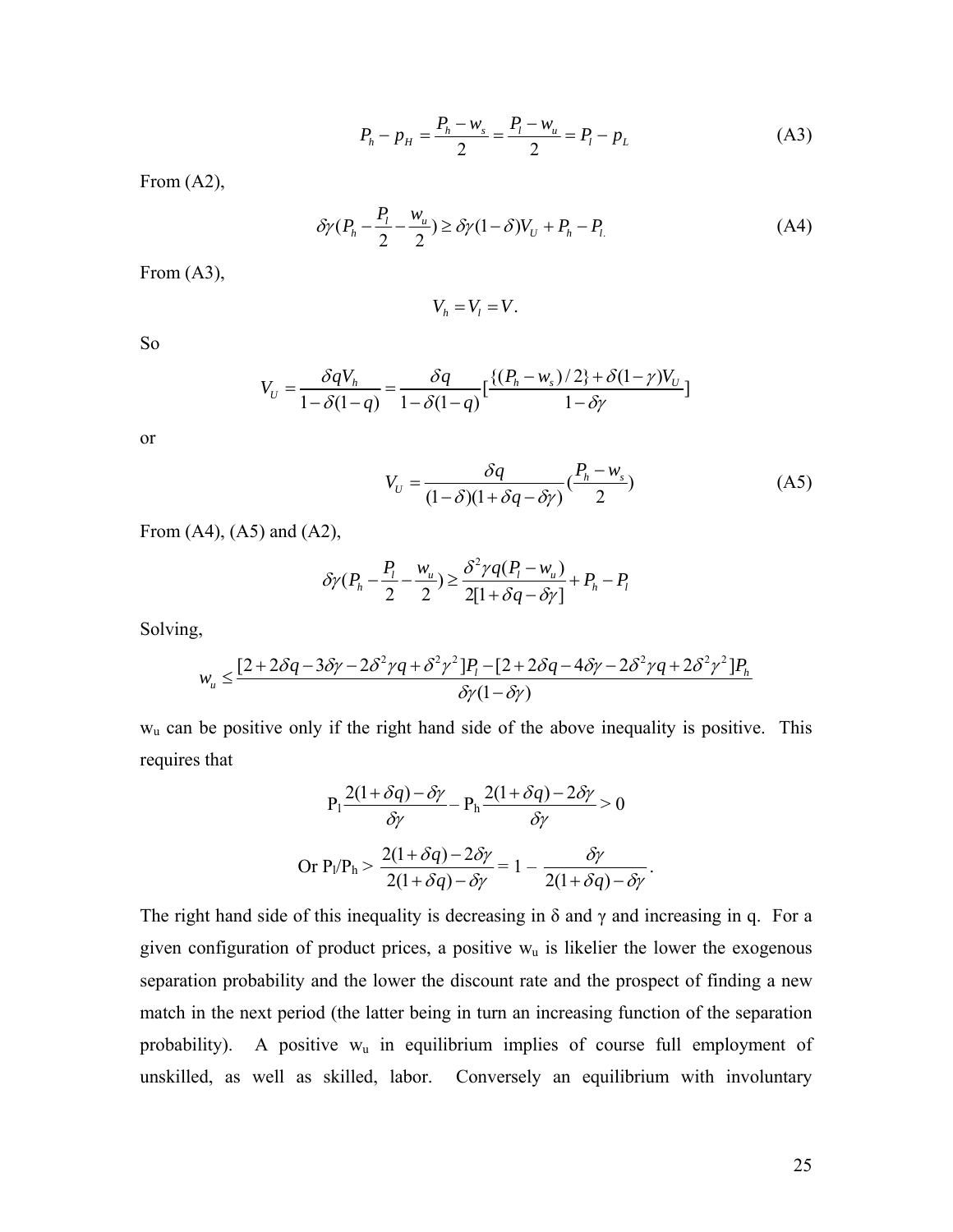$$
P_h - p_H = \frac{P_h - w_s}{2} = \frac{P_l - w_u}{2} = P_l - p_L \tag{A3}
$$

From (A2),

$$
\delta \gamma (P_h - \frac{P_l}{2} - \frac{w_u}{2}) \ge \delta \gamma (1 - \delta) V_U + P_h - P_l \tag{A4}
$$

From (A3),

$$
V_h = V_l = V.
$$

So

$$
V_U = \frac{\delta q V_h}{1 - \delta (1 - q)} = \frac{\delta q}{1 - \delta (1 - q)} \left[ \frac{\{(P_h - w_s)/2\} + \delta (1 - \gamma) V_U}{1 - \delta \gamma} \right]
$$

or

$$
V_U = \frac{\delta q}{(1-\delta)(1+\delta q - \delta \gamma)} \left(\frac{P_h - w_s}{2}\right) \tag{A5}
$$

From  $(A4)$ ,  $(A5)$  and  $(A2)$ ,

$$
\delta \gamma (P_h - \frac{P_l}{2} - \frac{w_u}{2}) \ge \frac{\delta^2 \gamma q (P_l - w_u)}{2[1 + \delta q - \delta \gamma]} + P_h - P_l
$$

Solving,

$$
w_u \leq \frac{[2 + 2\delta q - 3\delta \gamma - 2\delta^2 \gamma q + \delta^2 \gamma^2] P_l - [2 + 2\delta q - 4\delta \gamma - 2\delta^2 \gamma q + 2\delta^2 \gamma^2] P_h}{\delta \gamma (1 - \delta \gamma)}
$$

wu can be positive only if the right hand side of the above inequality is positive. This requires that

$$
P_1 \frac{2(1+\delta q) - \delta \gamma}{\delta \gamma} - P_h \frac{2(1+\delta q) - 2\delta \gamma}{\delta \gamma} > 0
$$
  
Or 
$$
P_1/P_h > \frac{2(1+\delta q) - 2\delta \gamma}{2(1+\delta q) - \delta \gamma} = 1 - \frac{\delta \gamma}{2(1+\delta q) - \delta \gamma}.
$$

The right hand side of this inequality is decreasing in  $\delta$  and  $\gamma$  and increasing in q. For a given configuration of product prices, a positive  $w<sub>u</sub>$  is likelier the lower the exogenous separation probability and the lower the discount rate and the prospect of finding a new match in the next period (the latter being in turn an increasing function of the separation probability). A positive  $w_u$  in equilibrium implies of course full employment of unskilled, as well as skilled, labor. Conversely an equilibrium with involuntary